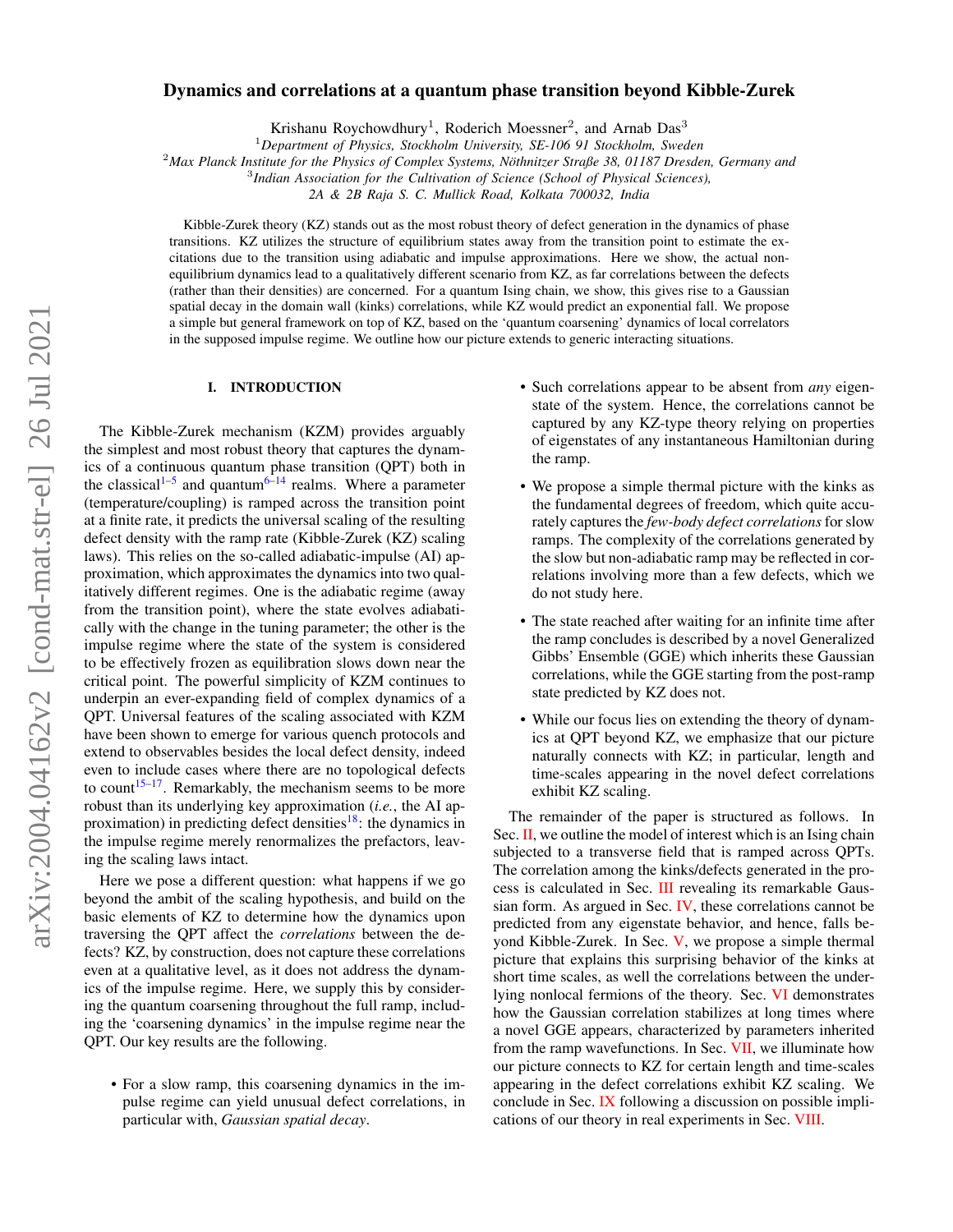# $arXiv:2004.04162v2$  [cond-mat.str-el] 26 Jul 2021 arXiv:2004.04162v2 [cond-mat.str-el] 26 Jul 2021

# Dynamics and correlations at a quantum phase transition beyond Kibble-Zurek

Krishanu Roychowdhury<sup>1</sup>, Roderich Moessner<sup>2</sup>, and Arnab Das<sup>3</sup>

<sup>1</sup>*Department of Physics, Stockholm University, SE-106 91 Stockholm, Sweden*

<sup>2</sup>*Max Planck Institute for the Physics of Complex Systems, Nothnitzer Straße 38, 01187 Dresden, Germany and ¨*

3 *Indian Association for the Cultivation of Science (School of Physical Sciences),*

*2A & 2B Raja S. C. Mullick Road, Kolkata 700032, India*

Kibble-Zurek theory (KZ) stands out as the most robust theory of defect generation in the dynamics of phase transitions. KZ utilizes the structure of equilibrium states away from the transition point to estimate the excitations due to the transition using adiabatic and impulse approximations. Here we show, the actual nonequilibrium dynamics lead to a qualitatively different scenario from KZ, as far correlations between the defects (rather than their densities) are concerned. For a quantum Ising chain, we show, this gives rise to a Gaussian spatial decay in the domain wall (kinks) correlations, while KZ would predict an exponential fall. We propose a simple but general framework on top of KZ, based on the 'quantum coarsening' dynamics of local correlators in the supposed impulse regime. We outline how our picture extends to generic interacting situations.

### I. INTRODUCTION

The Kibble-Zurek mechanism (KZM) provides arguably the simplest and most robust theory that captures the dynamics of a continuous quantum phase transition (QPT) both in the classical<sup>[1–](#page-10-0)[5](#page-10-1)</sup> and quantum<sup>[6](#page-10-2)[–14](#page-10-3)</sup> realms. Where a parameter (temperature/coupling) is ramped across the transition point at a finite rate, it predicts the universal scaling of the resulting defect density with the ramp rate (Kibble-Zurek (KZ) scaling laws). This relies on the so-called adiabatic-impulse (AI) approximation, which approximates the dynamics into two qualitatively different regimes. One is the adiabatic regime (away from the transition point), where the state evolves adiabatically with the change in the tuning parameter; the other is the impulse regime where the state of the system is considered to be effectively frozen as equilibration slows down near the critical point. The powerful simplicity of KZM continues to underpin an ever-expanding field of complex dynamics of a QPT. Universal features of the scaling associated with KZM have been shown to emerge for various quench protocols and extend to observables besides the local defect density, indeed even to include cases where there are no topological defects to count<sup>[15](#page-10-4)[–17](#page-10-5)</sup>. Remarkably, the mechanism seems to be more robust than its underlying key approximation (*i.e.*, the AI ap-proximation) in predicting defect densities<sup>[18](#page-10-6)</sup>: the dynamics in the impulse regime merely renormalizes the prefactors, leaving the scaling laws intact.

Here we pose a different question: what happens if we go beyond the ambit of the scaling hypothesis, and build on the basic elements of KZ to determine how the dynamics upon traversing the QPT affect the *correlations* between the defects? KZ, by construction, does not capture these correlations even at a qualitative level, as it does not address the dynamics of the impulse regime. Here, we supply this by considering the quantum coarsening throughout the full ramp, including the 'coarsening dynamics' in the impulse regime near the QPT. Our key results are the following.

• For a slow ramp, this coarsening dynamics in the impulse regime can yield unusual defect correlations, in particular with, *Gaussian spatial decay*.

- Such correlations appear to be absent from *any* eigenstate of the system. Hence, the correlations cannot be captured by any KZ-type theory relying on properties of eigenstates of any instantaneous Hamiltonian during the ramp.
- We propose a simple thermal picture with the kinks as the fundamental degrees of freedom, which quite accurately captures the *few-body defect correlations*for slow ramps. The complexity of the correlations generated by the slow but non-adiabatic ramp may be reflected in correlations involving more than a few defects, which we do not study here.
- The state reached after waiting for an infinite time after the ramp concludes is described by a novel Generalized Gibbs' Ensemble (GGE) which inherits these Gaussian correlations, while the GGE starting from the post-ramp state predicted by KZ does not.
- While our focus lies on extending the theory of dynamics at QPT beyond KZ, we emphasize that our picture naturally connects with KZ; in particular, length and time-scales appearing in the novel defect correlations exhibit KZ scaling.

The remainder of the paper is structured as follows. In Sec. [II,](#page-1-0) we outline the model of interest which is an Ising chain subjected to a transverse field that is ramped across QPTs. The correlation among the kinks/defects generated in the process is calculated in Sec. [III](#page-1-1) revealing its remarkable Gaussian form. As argued in Sec.  $\mathbf{IV}$ , these correlations cannot be predicted from any eigenstate behavior, and hence, falls beyond Kibble-Zurek. In Sec. [V,](#page-4-0) we propose a simple thermal picture that explains this surprising behavior of the kinks at short time scales, as well the correlations between the underlying nonlocal fermions of the theory. Sec. [VI](#page-5-0) demonstrates how the Gaussian correlation stabilizes at long times where a novel GGE appears, characterized by parameters inherited from the ramp wavefunctions. In Sec. [VII,](#page-5-1) we illuminate how our picture connects to KZ for certain length and time-scales appearing in the defect correlations exhibit KZ scaling. We conclude in Sec. [IX](#page-6-0) following a discussion on possible implications of our theory in real experiments in Sec. [VIII.](#page-6-1)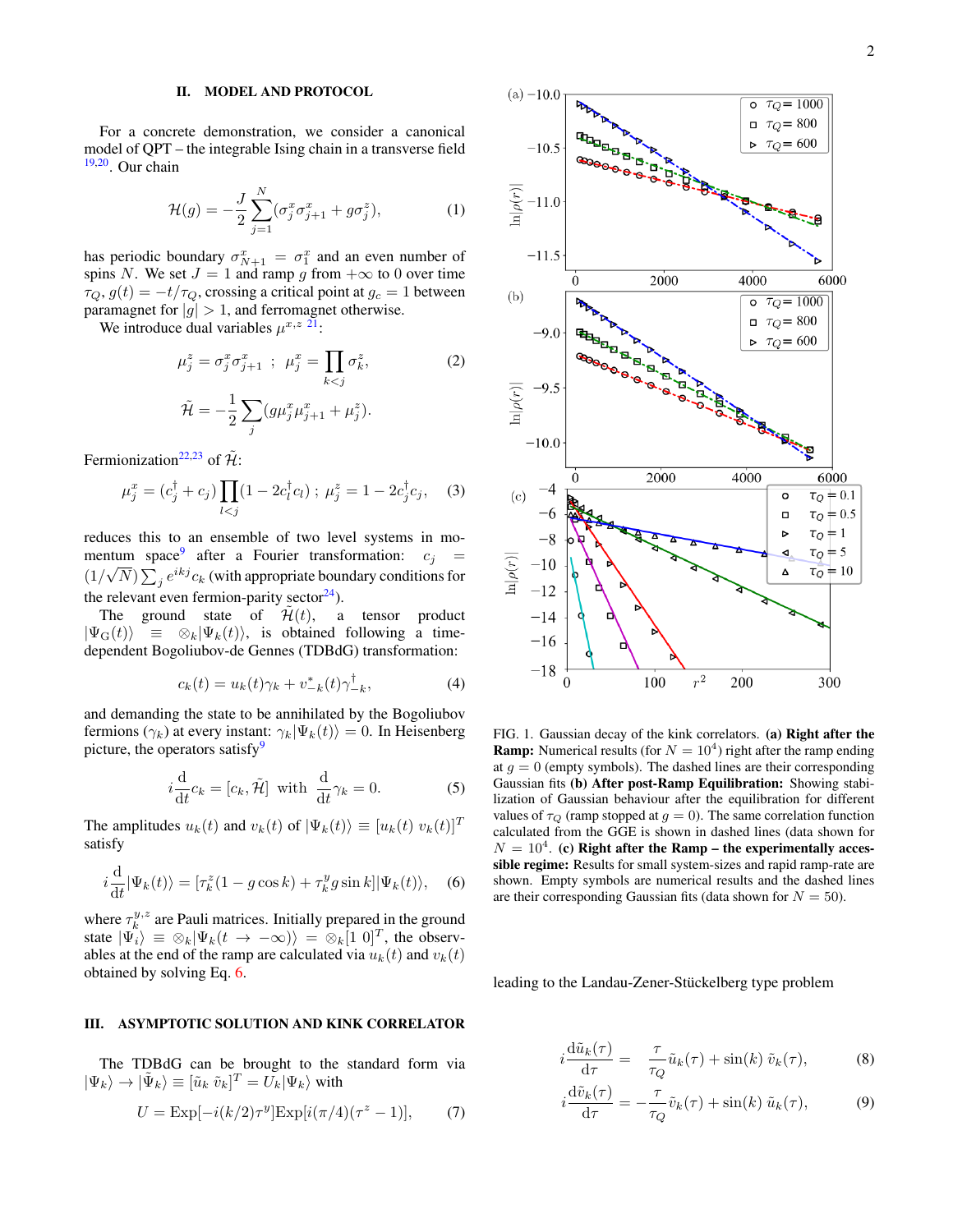## <span id="page-1-0"></span>II. MODEL AND PROTOCOL

For a concrete demonstration, we consider a canonical model of QPT – the integrable Ising chain in a transverse field [19,](#page-10-7)[20](#page-10-8). Our chain

<span id="page-1-3"></span>
$$
\mathcal{H}(g) = -\frac{J}{2} \sum_{j=1}^{N} (\sigma_j^x \sigma_{j+1}^x + g \sigma_j^z), \tag{1}
$$

has periodic boundary  $\sigma_{N+1}^x = \sigma_1^x$  and an even number of spins N. We set  $J = 1$  and ramp g from  $+\infty$  to 0 over time  $\tau_Q$ ,  $g(t) = -t/\tau_Q$ , crossing a critical point at  $g_c = 1$  between paramagnet for  $|g| > 1$ , and ferromagnet otherwise.

We introduce dual variables  $\mu^{x,z}$  <sup>[21](#page-10-9)</sup>:

<span id="page-1-4"></span>
$$
\mu_j^z = \sigma_j^x \sigma_{j+1}^x ; \ \mu_j^x = \prod_{k < j} \sigma_k^z, \tag{2}
$$
\n
$$
\tilde{\mathcal{H}} = -\frac{1}{2} \sum_j (g\mu_j^x \mu_{j+1}^x + \mu_j^z).
$$

Fermionization<sup>[22,](#page-10-10)[23](#page-10-11)</sup> of  $\tilde{\mathcal{H}}$ :

$$
\mu_j^x = (c_j^{\dagger} + c_j) \prod_{l < j} (1 - 2c_l^{\dagger} c_l) ; \ \mu_j^z = 1 - 2c_j^{\dagger} c_j, \tag{3}
$$

reduces this to an ensemble of two level systems in mo-mentum space<sup>[9](#page-10-12)</sup> after a Fourier transformation:  $c_j =$  $(1/\sqrt{N})\sum_j e^{ikj}c_k$  (with appropriate boundary conditions for the relevant even fermion-parity sector $^{24}$  $^{24}$  $^{24}$ ).

The ground state of  $\mathcal{H}(t)$ , a tensor product  $|\Psi_{\rm G}(t)\rangle \equiv \otimes_k |\Psi_k(t)\rangle$ , is obtained following a timedependent Bogoliubov-de Gennes (TDBdG) transformation:

$$
c_k(t) = u_k(t)\gamma_k + v_{-k}^*(t)\gamma_{-k}^\dagger,\tag{4}
$$

and demanding the state to be annihilated by the Bogoliubov fermions ( $\gamma_k$ ) at every instant:  $\gamma_k|\Psi_k(t)\rangle = 0$ . In Heisenberg picture, the operators satisfy $9$ 

$$
i\frac{\mathrm{d}}{\mathrm{d}t}c_k = [c_k, \tilde{\mathcal{H}}] \text{ with } \frac{\mathrm{d}}{\mathrm{d}t}\gamma_k = 0. \tag{5}
$$

The amplitudes  $u_k(t)$  and  $v_k(t)$  of  $|\Psi_k(t)\rangle \equiv [u_k(t) v_k(t)]^T$ satisfy

<span id="page-1-2"></span>
$$
i\frac{\mathrm{d}}{\mathrm{d}t}|\Psi_k(t)\rangle = [\tau_k^z(1 - g\cos k) + \tau_k^y g\sin k]|\Psi_k(t)\rangle, \quad (6)
$$

where  $\tau_k^{y,z}$  are Pauli matrices. Initially prepared in the ground state  $|\Psi_i\rangle \equiv \otimes_k |\Psi_k(t \to -\infty)\rangle = \otimes_k [1 \; 0]^T$ , the observables at the end of the ramp are calculated via  $u_k(t)$  and  $v_k(t)$ obtained by solving Eq. [6.](#page-1-2)

# <span id="page-1-1"></span>III. ASYMPTOTIC SOLUTION AND KINK CORRELATOR

The TDBdG can be brought to the standard form via  $|\Psi_k\rangle \rightarrow |\tilde{\Psi}_k\rangle \equiv [\tilde{u}_k \ \tilde{v}_k]^T = U_k |\Psi_k\rangle$  with

$$
U = \exp[-i(k/2)\tau^y] \exp[i(\pi/4)(\tau^z - 1)],
$$
 (7)



<span id="page-1-5"></span>FIG. 1. Gaussian decay of the kink correlators. (a) Right after the **Ramp:** Numerical results (for  $N = 10<sup>4</sup>$ ) right after the ramp ending at  $g = 0$  (empty symbols). The dashed lines are their corresponding Gaussian fits (b) After post-Ramp Equilibration: Showing stabilization of Gaussian behaviour after the equilibration for different values of  $\tau_Q$  (ramp stopped at  $g = 0$ ). The same correlation function calculated from the GGE is shown in dashed lines (data shown for  $N = 10<sup>4</sup>$ . (c) Right after the Ramp – the experimentally accessible regime: Results for small system-sizes and rapid ramp-rate are shown. Empty symbols are numerical results and the dashed lines are their corresponding Gaussian fits (data shown for  $N = 50$ ).

leading to the Landau-Zener-Stückelberg type problem

$$
i\frac{\mathrm{d}\tilde{u}_k(\tau)}{\mathrm{d}\tau} = \frac{\tau}{\tau_Q}\tilde{u}_k(\tau) + \sin(k)\,\tilde{v}_k(\tau),\tag{8}
$$

$$
i\frac{\mathrm{d}\tilde{v}_k(\tau)}{\mathrm{d}\tau} = -\frac{\tau}{\tau_Q}\tilde{v}_k(\tau) + \sin(k)\,\tilde{u}_k(\tau),\tag{9}
$$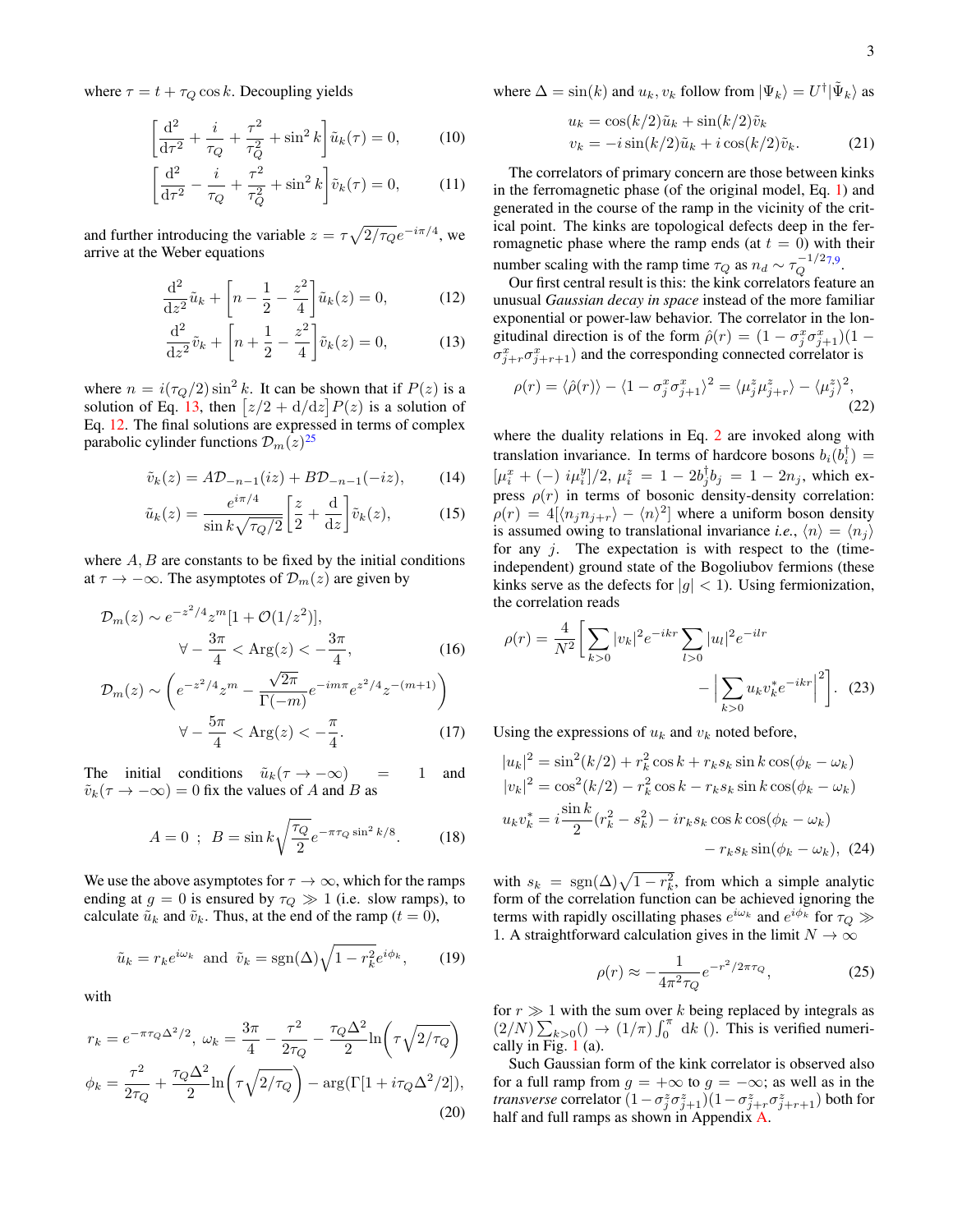<span id="page-2-2"></span>

3

where  $\tau = t + \tau_Q \cos k$ . Decoupling yields

$$
\left[\frac{d^2}{d\tau^2} + \frac{i}{\tau_Q} + \frac{\tau^2}{\tau_Q^2} + \sin^2 k\right] \tilde{u}_k(\tau) = 0, \quad (10)
$$

$$
\left[\frac{d^2}{d\tau^2} - \frac{i}{\tau_Q} + \frac{\tau^2}{\tau_Q^2} + \sin^2 k\right] \tilde{v}_k(\tau) = 0, \quad (11)
$$

and further introducing the variable  $z = \tau \sqrt{2/\tau_Q} e^{-i\pi/4}$ , we arrive at the Weber equations

$$
\frac{d^2}{dz^2}\tilde{u}_k + \left[n - \frac{1}{2} - \frac{z^2}{4}\right]\tilde{u}_k(z) = 0, \tag{12}
$$

$$
\frac{\mathrm{d}^2}{\mathrm{d}z^2}\tilde{v}_k + \left[n + \frac{1}{2} - \frac{z^2}{4}\right]\tilde{v}_k(z) = 0,\tag{13}
$$

where  $n = i(\tau_Q/2) \sin^2 k$ . It can be shown that if  $P(z)$  is a solution of Eq. [13,](#page-2-0) then  $\left[\frac{z}{2} + \frac{d}{dz}\right]P(z)$  is a solution of Eq. [12.](#page-2-1) The final solutions are expressed in terms of complex parabolic cylinder functions  $\mathcal{D}_m(z)^{25}$  $\mathcal{D}_m(z)^{25}$  $\mathcal{D}_m(z)^{25}$ 

$$
\tilde{v}_k(z) = A \mathcal{D}_{-n-1}(iz) + B \mathcal{D}_{-n-1}(-iz), \qquad (14)
$$

$$
\tilde{u}_k(z) = \frac{e^{i\pi/4}}{\sin k\sqrt{\tau_Q/2}} \left[\frac{z}{2} + \frac{\mathrm{d}}{\mathrm{d}z}\right] \tilde{v}_k(z),\tag{15}
$$

where  $A, B$  are constants to be fixed by the initial conditions at  $\tau \to -\infty$ . The asymptotes of  $\mathcal{D}_m(z)$  are given by

$$
\mathcal{D}_{m}(z) \sim e^{-z^{2}/4} z^{m} [1 + \mathcal{O}(1/z^{2})],
$$
  
\n
$$
\forall -\frac{3\pi}{4} < \text{Arg}(z) < -\frac{3\pi}{4},
$$
 (16)

$$
\mathcal{D}_{m}(z) \sim \left( e^{-z^{2}/4} z^{m} - \frac{\sqrt{2\pi}}{\Gamma(-m)} e^{-im\pi} e^{z^{2}/4} z^{-(m+1)} \right)
$$

$$
\forall -\frac{5\pi}{4} < \text{Arg}(z) < -\frac{\pi}{4}.
$$
 (17)

The initial conditions  $\tilde{u}_k(\tau \to -\infty)$  = 1 and  $\tilde{v}_k(\tau \to -\infty) = 0$  fix the values of A and B as

$$
A = 0 \; ; \; B = \sin k \sqrt{\frac{\tau_Q}{2}} e^{-\pi \tau_Q \sin^2 k/8}.
$$
 (18)

We use the above asymptotes for  $\tau \to \infty$ , which for the ramps ending at  $g = 0$  is ensured by  $\tau_Q \gg 1$  (i.e. slow ramps), to calculate  $\tilde{u}_k$  and  $\tilde{v}_k$ . Thus, at the end of the ramp ( $t = 0$ ),

$$
\tilde{u}_k = r_k e^{i\omega_k} \text{ and } \tilde{v}_k = \text{sgn}(\Delta) \sqrt{1 - r_k^2} e^{i\phi_k}, \qquad (19)
$$

with

$$
r_k = e^{-\pi \tau_Q \Delta^2/2}, \ \omega_k = \frac{3\pi}{4} - \frac{\tau^2}{2\tau_Q} - \frac{\tau_Q \Delta^2}{2} \ln\left(\tau \sqrt{2/\tau_Q}\right)
$$

$$
\phi_k = \frac{\tau^2}{2\tau_Q} + \frac{\tau_Q \Delta^2}{2} \ln\left(\tau \sqrt{2/\tau_Q}\right) - \arg(\Gamma[1 + i\tau_Q \Delta^2/2]), \tag{20}
$$

where 
$$
\Delta = \sin(k)
$$
 and  $u_k, v_k$  follow from  $|\Psi_k\rangle = U^{\dagger}|\tilde{\Psi}_k\rangle$  as

$$
u_k = \cos(k/2)\tilde{u}_k + \sin(k/2)\tilde{v}_k
$$
  

$$
v_k = -i\sin(k/2)\tilde{u}_k + i\cos(k/2)\tilde{v}_k.
$$
 (21)

The correlators of primary concern are those between kinks in the ferromagnetic phase (of the original model, Eq. [1\)](#page-1-3) and generated in the course of the ramp in the vicinity of the critical point. The kinks are topological defects deep in the ferromagnetic phase where the ramp ends (at  $t = 0$ ) with their number scaling with the ramp time  $\tau_Q$  as  $n_d \sim \tau_Q^{-1/2}$  $\bar{Q}^{-1/2}$ [7](#page-10-15)[,9](#page-10-12).

<span id="page-2-1"></span><span id="page-2-0"></span>Our first central result is this: the kink correlators feature an unusual *Gaussian decay in space* instead of the more familiar exponential or power-law behavior. The correlator in the longitudinal direction is of the form  $\hat{\rho}(r) = (1 - \sigma_j^x \sigma_{j+1}^x)(1 \sigma_{j+r}^x \sigma_{j+r+1}^x$ ) and the corresponding connected correlator is

$$
\rho(r) = \langle \hat{\rho}(r) \rangle - \langle 1 - \sigma_j^x \sigma_{j+1}^x \rangle^2 = \langle \mu_j^z \mu_{j+r}^z \rangle - \langle \mu_j^z \rangle^2, \tag{22}
$$

where the duality relations in Eq. [2](#page-1-4) are invoked along with translation invariance. In terms of hardcore bosons  $b_i(b_i^{\dagger}) =$  $[\mu_i^x + (-) \; i\mu_i^y]/2, \, \mu_i^z = 1 - 2b_j^{\dagger}b_j = 1 - 2n_j$ , which express  $\rho(r)$  in terms of bosonic density-density correlation:  $\rho(r) = 4[\langle n_j n_{j+r} \rangle - \langle n \rangle^2]$  where a uniform boson density is assumed owing to translational invariance *i.e.*,  $\langle n \rangle = \langle n_i \rangle$ for any  $i$ . The expectation is with respect to the (timeindependent) ground state of the Bogoliubov fermions (these kinks serve as the defects for  $|g| < 1$ ). Using fermionization, the correlation reads

<span id="page-2-3"></span>
$$
\rho(r) = \frac{4}{N^2} \left[ \sum_{k>0} |v_k|^2 e^{-ikr} \sum_{l>0} |u_l|^2 e^{-ilr} - \left| \sum_{k>0} u_k v_k^* e^{-ikr} \right|^2 \right].
$$
 (23)

Using the expressions of  $u_k$  and  $v_k$  noted before,

$$
|u_k|^2 = \sin^2(k/2) + r_k^2 \cos k + r_k s_k \sin k \cos(\phi_k - \omega_k)
$$
  
\n
$$
|v_k|^2 = \cos^2(k/2) - r_k^2 \cos k - r_k s_k \sin k \cos(\phi_k - \omega_k)
$$
  
\n
$$
u_k v_k^* = i \frac{\sin k}{2} (r_k^2 - s_k^2) - ir_k s_k \cos k \cos(\phi_k - \omega_k)
$$
  
\n
$$
- r_k s_k \sin(\phi_k - \omega_k), \quad (24)
$$

with  $s_k = \text{sgn}(\Delta)\sqrt{1 - r_k^2}$ , from which a simple analytic form of the correlation function can be achieved ignoring the terms with rapidly oscillating phases  $e^{i\omega_k}$  and  $e^{i\phi_k}$  for  $\tau_Q \gg$ 1. A straightforward calculation gives in the limit  $N \to \infty$ 

<span id="page-2-4"></span>
$$
\rho(r) \approx -\frac{1}{4\pi^2 \tau_Q} e^{-r^2/2\pi \tau_Q},\tag{25}
$$

for  $r \gg 1$  with the sum over k being replaced by integrals as  $(2/N)\sum_{k>0}() \rightarrow (1/\pi)\int_0^{\pi} dk$  (). This is verified numerically in Fig. [1](#page-1-5) (a).

Such Gaussian form of the kink correlator is observed also for a full ramp from  $g = +\infty$  to  $g = -\infty$ ; as well as in the *transverse* correlator  $(1 - \sigma_j^z \sigma_{j+1}^z)(1 - \sigma_{j+r}^z \sigma_{j+r+1}^z)$  both for half and full ramps as shown in Appendix [A.](#page-6-2)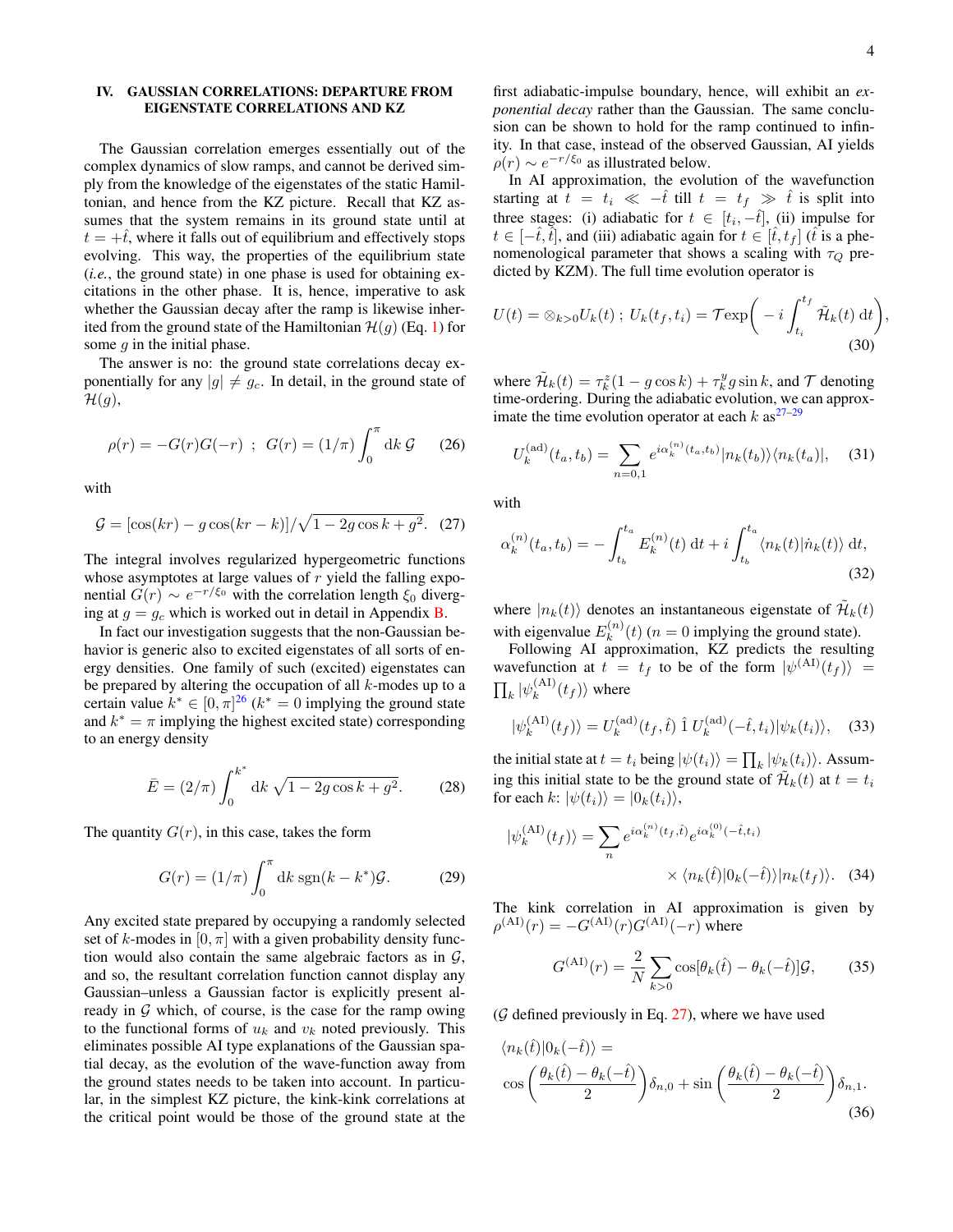,

# <span id="page-3-0"></span>IV. GAUSSIAN CORRELATIONS: DEPARTURE FROM EIGENSTATE CORRELATIONS AND KZ

The Gaussian correlation emerges essentially out of the complex dynamics of slow ramps, and cannot be derived simply from the knowledge of the eigenstates of the static Hamiltonian, and hence from the KZ picture. Recall that KZ assumes that the system remains in its ground state until at  $t = +\hat{t}$ , where it falls out of equilibrium and effectively stops evolving. This way, the properties of the equilibrium state (*i.e.*, the ground state) in one phase is used for obtaining excitations in the other phase. It is, hence, imperative to ask whether the Gaussian decay after the ramp is likewise inherited from the ground state of the Hamiltonian  $\mathcal{H}(q)$  (Eq. [1\)](#page-1-3) for some  $q$  in the initial phase.

The answer is no: the ground state correlations decay exponentially for any  $|g| \neq g_c$ . In detail, in the ground state of  $\mathcal{H}(g)$ ,

$$
\rho(r) = -G(r)G(-r) \; ; \; G(r) = (1/\pi) \int_0^{\pi} dk \, \mathcal{G} \qquad (26)
$$

with

$$
G = \left[\cos(kr) - g\cos(kr - k)\right] / \sqrt{1 - 2g\cos k + g^2}.
$$
 (27)

The integral involves regularized hypergeometric functions whose asymptotes at large values of  $r$  yield the falling exponential  $G(r) \sim e^{-r/\xi_0}$  with the correlation length  $\xi_0$  diverging at  $g = g_c$  which is worked out in detail in Appendix **B**.

In fact our investigation suggests that the non-Gaussian behavior is generic also to excited eigenstates of all sorts of energy densities. One family of such (excited) eigenstates can be prepared by altering the occupation of all  $k$ -modes up to a certain value  $k^* \in [0, \pi]^{26}$  $k^* \in [0, \pi]^{26}$  $k^* \in [0, \pi]^{26}$  ( $k^* = 0$  implying the ground state and  $k^* = \pi$  implying the highest excited state) corresponding to an energy density

$$
\bar{E} = (2/\pi) \int_0^{k^*} dk \sqrt{1 - 2g \cos k + g^2}.
$$
 (28)

The quantity  $G(r)$ , in this case, takes the form

$$
G(r) = (1/\pi) \int_0^{\pi} dk \operatorname{sgn}(k - k^*) \mathcal{G}.
$$
 (29)

Any excited state prepared by occupying a randomly selected set of k-modes in  $[0, \pi]$  with a given probability density function would also contain the same algebraic factors as in  $G$ , and so, the resultant correlation function cannot display any Gaussian–unless a Gaussian factor is explicitly present already in  $G$  which, of course, is the case for the ramp owing to the functional forms of  $u_k$  and  $v_k$  noted previously. This eliminates possible AI type explanations of the Gaussian spatial decay, as the evolution of the wave-function away from the ground states needs to be taken into account. In particular, in the simplest KZ picture, the kink-kink correlations at the critical point would be those of the ground state at the

first adiabatic-impulse boundary, hence, will exhibit an *exponential decay* rather than the Gaussian. The same conclusion can be shown to hold for the ramp continued to infinity. In that case, instead of the observed Gaussian, AI yields  $\rho(r) \sim e^{-r/\xi_0}$  as illustrated below.

In AI approximation, the evolution of the wavefunction starting at  $t = t_i \ll -\hat{t}$  till  $t = t_f \gg \hat{t}$  is split into three stages: (i) adiabatic for  $t \in [t_i, -\hat{t}]$ , (ii) impulse for  $t \in [-\hat{t}, \hat{t}]$ , and (iii) adiabatic again for  $t \in [\hat{t}, t_f]$  ( $\hat{t}$  is a phenomenological parameter that shows a scaling with  $\tau_{\Omega}$  predicted by KZM). The full time evolution operator is

$$
U(t) = \otimes_{k>0} U_k(t) ; U_k(t_f, t_i) = \mathcal{T} \exp\bigg(-i \int_{t_i}^{t_f} \tilde{\mathcal{H}}_k(t) dt\bigg)
$$
\n(30)

where  $\tilde{\mathcal{H}}_k(t) = \tau_k^z(1 - g \cos k) + \tau_k^y g \sin k$ , and  $\mathcal{T}$  denoting time-ordering. During the adiabatic evolution, we can approximate the time evolution operator at each  $k$  as<sup>[27–](#page-10-17)[29](#page-10-18)</sup>

$$
U_k^{(\text{ad})}(t_a, t_b) = \sum_{n=0,1} e^{i\alpha_k^{(n)}(t_a, t_b)} |n_k(t_b)\rangle\langle n_k(t_a)|,
$$
 (31)

<span id="page-3-1"></span>with

$$
\alpha_k^{(n)}(t_a, t_b) = -\int_{t_b}^{t_a} E_k^{(n)}(t) dt + i \int_{t_b}^{t_a} \langle n_k(t) | \dot{n}_k(t) \rangle dt,
$$
\n(32)

where  $|n_k(t)\rangle$  denotes an instantaneous eigenstate of  $\mathcal{H}_k(t)$ with eigenvalue  $E_k^{(n)}$  $k^{(n)}(t)$  ( $n = 0$  implying the ground state).

Following AI approximation, KZ predicts the resulting wavefunction at  $t = t_f$  to be of the form  $|\psi^{(A I)}(t_f)\rangle =$  $\prod_k \ket{\psi_k^{\text{(AI)}}}$  $\binom{(\mathbf{A1})}{k}(t_f)$  where

$$
|\psi_k^{(\text{AI})}(t_f)\rangle = U_k^{(\text{ad})}(t_f, \hat{t}) \hat{1} U_k^{(\text{ad})}(-\hat{t}, t_i) |\psi_k(t_i)\rangle, \quad (33)
$$

the initial state at  $t = t_i$  being  $|\psi(t_i)\rangle = \prod_k |\psi_k(t_i)\rangle$ . Assuming this initial state to be the ground state of  $\mathcal{H}_k(t)$  at  $t = t_i$ for each k:  $|\psi(t_i)\rangle = |0_k(t_i)\rangle$ ,

$$
|\psi_k^{(\text{AI})}(t_f)\rangle = \sum_n e^{i\alpha_k^{(n)}(t_f,\hat{t})} e^{i\alpha_k^{(0)}(-\hat{t},t_i)} \times \langle n_k(\hat{t}) | 0_k(-\hat{t}) \rangle | n_k(t_f) \rangle. \tag{34}
$$

The kink correlation in AI approximation is given by  $\rho^{(AI)}(r) = -G^{(AI)}(r)G^{(AI)}(-r)$  where

$$
G^{(\text{AI})}(r) = \frac{2}{N} \sum_{k>0} \cos[\theta_k(\hat{t}) - \theta_k(-\hat{t})] \mathcal{G},\qquad(35)
$$

 $(G$  defined previously in Eq. [27\)](#page-3-1), where we have used

$$
\langle n_k(\hat{t}) | 0_k(-\hat{t}) \rangle = \cos\left(\frac{\theta_k(\hat{t}) - \theta_k(-\hat{t})}{2}\right) \delta_{n,0} + \sin\left(\frac{\theta_k(\hat{t}) - \theta_k(-\hat{t})}{2}\right) \delta_{n,1}.
$$
\n(36)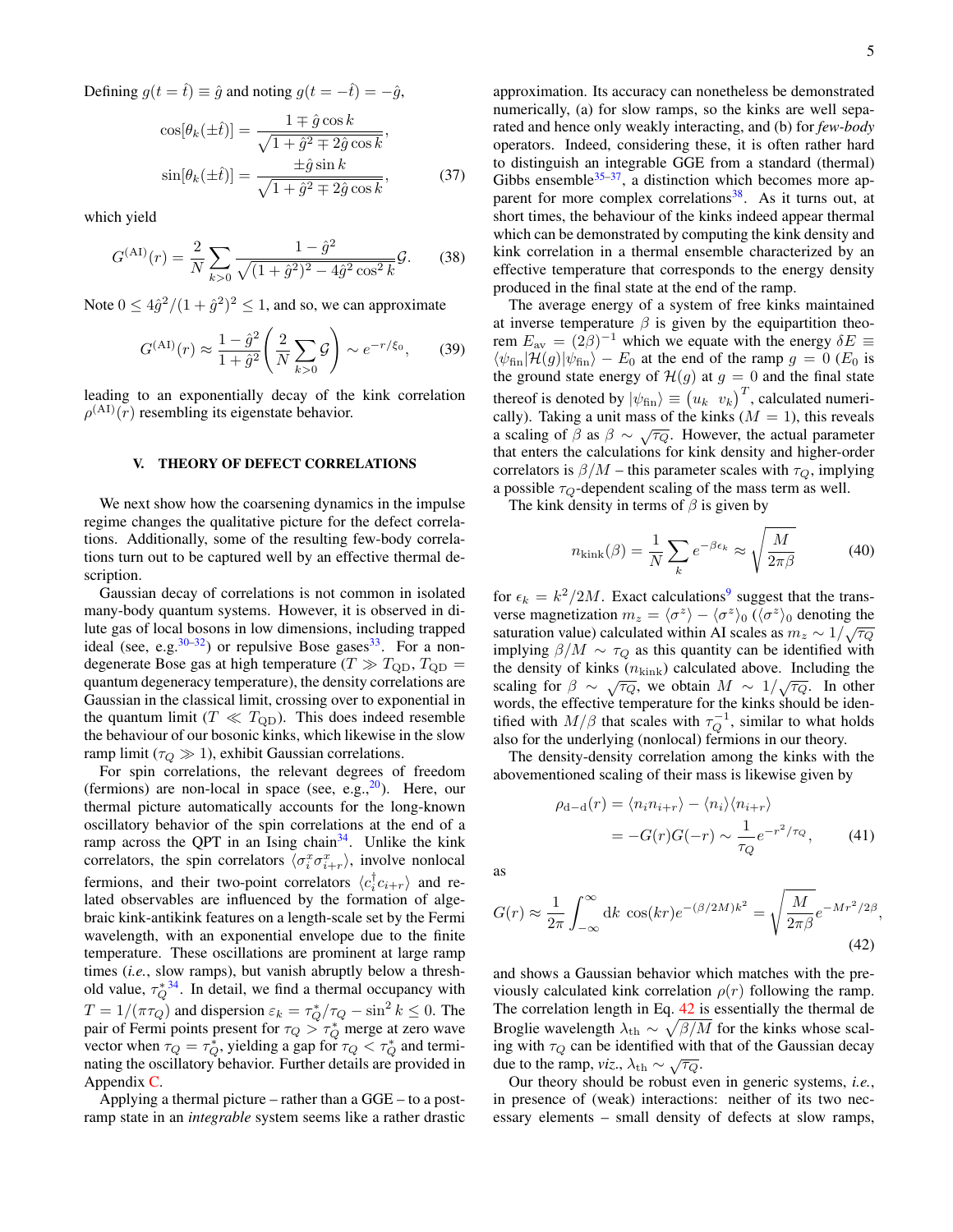Defining  $g(t = \hat{t}) \equiv \hat{g}$  and noting  $g(t = -\hat{t}) = -\hat{g}$ ,

$$
\cos[\theta_k(\pm \hat{t})] = \frac{1 \mp \hat{g}\cos k}{\sqrt{1 + \hat{g}^2 \mp 2\hat{g}\cos k}},
$$

$$
\sin[\theta_k(\pm \hat{t})] = \frac{\pm \hat{g}\sin k}{\sqrt{1 + \hat{g}^2 \mp 2\hat{g}\cos k}},
$$
(37)

which yield

$$
G^{(\text{AI})}(r) = \frac{2}{N} \sum_{k>0} \frac{1 - \hat{g}^2}{\sqrt{(1 + \hat{g}^2)^2 - 4\hat{g}^2 \cos^2 k}} \mathcal{G}.
$$
 (38)

Note  $0 \le 4\hat{g}^2/(1+\hat{g}^2)^2 \le 1$ , and so, we can approximate

$$
G^{(\text{AI})}(r) \approx \frac{1 - \hat{g}^2}{1 + \hat{g}^2} \left(\frac{2}{N} \sum_{k > 0} \mathcal{G}\right) \sim e^{-r/\xi_0},\qquad(39)
$$

leading to an exponentially decay of the kink correlation  $\rho^{(AI)}(r)$  resembling its eigenstate behavior.

## <span id="page-4-0"></span>V. THEORY OF DEFECT CORRELATIONS

We next show how the coarsening dynamics in the impulse regime changes the qualitative picture for the defect correlations. Additionally, some of the resulting few-body correlations turn out to be captured well by an effective thermal description.

Gaussian decay of correlations is not common in isolated many-body quantum systems. However, it is observed in dilute gas of local bosons in low dimensions, including trapped ideal (see, e.g.  $30-32$  $30-32$ ) or repulsive Bose gases  $33$ . For a nondegenerate Bose gas at high temperature ( $T \gg T_{\rm QD}$ ,  $T_{\rm QD} =$ quantum degeneracy temperature), the density correlations are Gaussian in the classical limit, crossing over to exponential in the quantum limit ( $T \ll T_{\text{QD}}$ ). This does indeed resemble the behaviour of our bosonic kinks, which likewise in the slow ramp limit ( $\tau_Q \gg 1$ ), exhibit Gaussian correlations.

For spin correlations, the relevant degrees of freedom (fermions) are non-local in space (see, e.g., $^{20}$  $^{20}$  $^{20}$ ). Here, our thermal picture automatically accounts for the long-known oscillatory behavior of the spin correlations at the end of a ramp across the QPT in an Ising chain<sup>[34](#page-10-22)</sup>. Unlike the kink correlators, the spin correlators  $\langle \sigma_i^x \sigma_{i+r}^x \rangle$ , involve nonlocal fermions, and their two-point correlators  $\langle c_i^\dagger c_{i+r} \rangle$  and related observables are influenced by the formation of algebraic kink-antikink features on a length-scale set by the Fermi wavelength, with an exponential envelope due to the finite temperature. These oscillations are prominent at large ramp times (*i.e.*, slow ramps), but vanish abruptly below a threshold value,  $\tau_Q^{*34}$  $\tau_Q^{*34}$  $\tau_Q^{*34}$ . In detail, we find a thermal occupancy with  $T = 1/(\pi \tau_Q)$  and dispersion  $\varepsilon_k = \tau_Q^* / \tau_Q - \sin^2 k \leq 0$ . The pair of Fermi points present for  $\tau_Q > \tau_Q^*$  merge at zero wave vector when  $\tau_Q = \tau_Q^*$ , yielding a gap for  $\tau_Q < \tau_Q^*$  and terminating the oscillatory behavior. Further details are provided in Appendix [C.](#page-7-0)

Applying a thermal picture – rather than a GGE – to a postramp state in an *integrable* system seems like a rather drastic

approximation. Its accuracy can nonetheless be demonstrated numerically, (a) for slow ramps, so the kinks are well separated and hence only weakly interacting, and (b) for *few-body* operators. Indeed, considering these, it is often rather hard to distinguish an integrable GGE from a standard (thermal) Gibbs ensemble  $35-37$  $35-37$ , a distinction which becomes more ap-parent for more complex correlations<sup>[38](#page-10-25)</sup>. As it turns out, at short times, the behaviour of the kinks indeed appear thermal which can be demonstrated by computing the kink density and kink correlation in a thermal ensemble characterized by an effective temperature that corresponds to the energy density produced in the final state at the end of the ramp.

The average energy of a system of free kinks maintained at inverse temperature  $\beta$  is given by the equipartition theorem  $E_{\text{av}} = (2\beta)^{-1}$  which we equate with the energy  $\delta E \equiv$  $\langle \psi_{fin} | \hat{\mathcal{H}}(g) | \psi_{fin} \rangle - E_0$  at the end of the ramp  $g = 0$  ( $E_0$  is the ground state energy of  $\mathcal{H}(g)$  at  $g = 0$  and the final state thereof is denoted by  $|\psi_{fin}\rangle \equiv (u_k \ v_k)^T$ , calculated numerically). Taking a unit mass of the kinks  $(M = 1)$ , this reveals carry). Taking a unit mass of the kniks  $(M - 1)$ , this reveases a scaling of  $\beta$  as  $\beta \sim \sqrt{\tau_Q}$ . However, the actual parameter that enters the calculations for kink density and higher-order correlators is  $\beta/M$  – this parameter scales with  $\tau_Q$ , implying a possible  $\tau_Q$ -dependent scaling of the mass term as well.

The kink density in terms of  $\beta$  is given by

$$
n_{\text{kink}}(\beta) = \frac{1}{N} \sum_{k} e^{-\beta \epsilon_k} \approx \sqrt{\frac{M}{2\pi \beta}}
$$
(40)

for  $\epsilon_k = k^2/2M$ . Exact calculations<sup>[9](#page-10-12)</sup> suggest that the transverse magnetization  $m_z = \langle \sigma^z \rangle - \langle \sigma^z \rangle_0 \overline{(\langle \sigma^z \rangle_0)}$  denoting the saturation value) calculated within AI scales as  $m_z \sim 1/\sqrt{\tau_Q}$ implying  $\beta/M \sim \tau_Q$  as this quantity can be identified with the density of kinks  $(n_{\text{kink}})$  calculated above. Including the scaling for  $\beta \sim \sqrt{\tau_Q}$ , we obtain  $M \sim 1/\sqrt{\tau_Q}$ . In other words, the effective temperature for the kinks should be identified with  $M/\beta$  that scales with  $\tau_Q^{-1}$ , similar to what holds also for the underlying (nonlocal) fermions in our theory.

The density-density correlation among the kinks with the abovementioned scaling of their mass is likewise given by

$$
\rho_{\mathbf{d}-\mathbf{d}}(r) = \langle n_i n_{i+r} \rangle - \langle n_i \rangle \langle n_{i+r} \rangle
$$
  
= 
$$
-G(r)G(-r) \sim \frac{1}{\tau_Q} e^{-r^2/\tau_Q}, \qquad (41)
$$

<span id="page-4-1"></span>,

as

$$
G(r) \approx \frac{1}{2\pi} \int_{-\infty}^{\infty} dk \cos(kr) e^{-(\beta/2M)k^2} = \sqrt{\frac{M}{2\pi\beta}} e^{-Mr^2/2\beta}
$$
\n(42)

and shows a Gaussian behavior which matches with the previously calculated kink correlation  $\rho(r)$  following the ramp. The correlation length in Eq. [42](#page-4-1) is essentially the thermal de Broglie wavelength  $\lambda_{\text{th}} \sim \sqrt{\beta/M}$  for the kinks whose scaling with  $\tau_Q$  can be identified with that of the Gaussian decay due to the ramp, *viz*.,  $\lambda_{th} \sim \sqrt{\tau_Q}$ .

Our theory should be robust even in generic systems, *i.e.*, in presence of (weak) interactions: neither of its two necessary elements – small density of defects at slow ramps,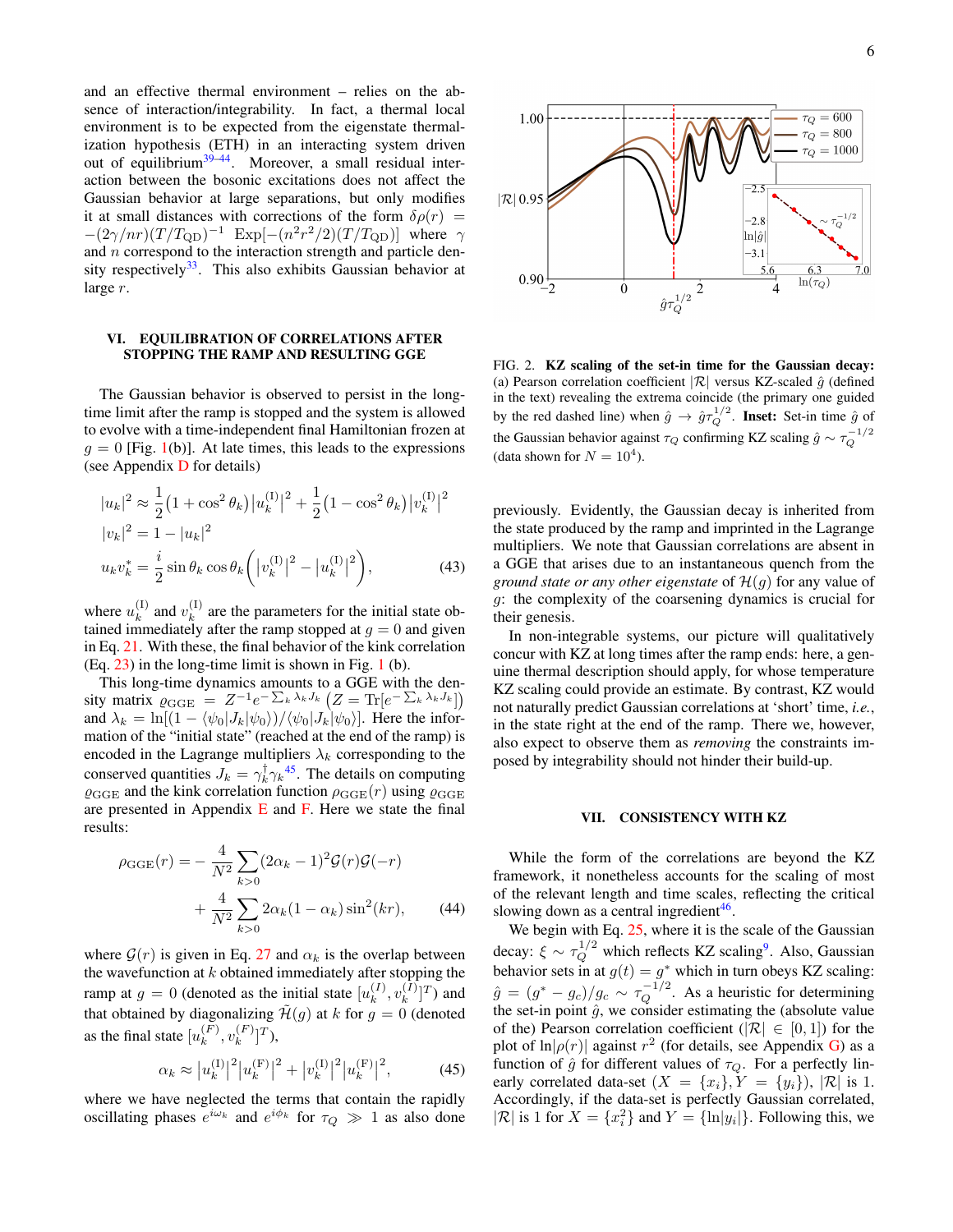and an effective thermal environment – relies on the absence of interaction/integrability. In fact, a thermal local environment is to be expected from the eigenstate thermalization hypothesis (ETH) in an interacting system driven out of equilibrium<sup>[39–](#page-10-26)[44](#page-10-27)</sup>. Moreover, a small residual interaction between the bosonic excitations does not affect the Gaussian behavior at large separations, but only modifies it at small distances with corrections of the form  $\delta \rho(r)$  =  $-(2\gamma/nr)(T/T_{\rm QD})^{-1}$  Exp $[-(n^2r^2/2)(T/T_{\rm QD})]$  where  $\gamma$ and  $n$  correspond to the interaction strength and particle den-sity respectively<sup>[33](#page-10-21)</sup>. This also exhibits Gaussian behavior at large r.

# <span id="page-5-0"></span>VI. EQUILIBRATION OF CORRELATIONS AFTER STOPPING THE RAMP AND RESULTING GGE

The Gaussian behavior is observed to persist in the longtime limit after the ramp is stopped and the system is allowed to evolve with a time-independent final Hamiltonian frozen at  $g = 0$  [Fig. [1\(](#page-1-5)b)]. At late times, this leads to the expressions (see Appendix [D](#page-8-0) for details)

$$
|u_k|^2 \approx \frac{1}{2} (1 + \cos^2 \theta_k) |u_k^{(1)}|^2 + \frac{1}{2} (1 - \cos^2 \theta_k) |v_k^{(1)}|^2
$$
  
\n
$$
|v_k|^2 = 1 - |u_k|^2
$$
  
\n
$$
u_k v_k^* = \frac{i}{2} \sin \theta_k \cos \theta_k \left( |v_k^{(1)}|^2 - |u_k^{(1)}|^2 \right),
$$
 (43)

where  $u_k^{(1)}$  $\binom{[1]}{k}$  and  $v_k^{[1]}$  $k<sup>(1)</sup>$  are the parameters for the initial state obtained immediately after the ramp stopped at  $g = 0$  and given in Eq. [21.](#page-2-2) With these, the final behavior of the kink correlation  $(Eq. 23)$  $(Eq. 23)$  in the long-time limit is shown in Fig. [1](#page-1-5)(b).

This long-time dynamics amounts to a GGE with the density matrix  $\varrho_{\text{GGE}} = Z^{-1}e^{-\sum_{k}\lambda_{k}J_{k}}(Z=\text{Tr}[e^{-\sum_{k}\lambda_{k}J_{k}}])$ and  $\lambda_k = \ln[(1 - \langle \psi_0 | J_k | \psi_0 \rangle) / \langle \psi_0 | J_k | \psi_0 \rangle]$ . Here the information of the "initial state" (reached at the end of the ramp) is encoded in the Lagrange multipliers  $\lambda_k$  corresponding to the conserved quantities  $J_k = \gamma_k^{\dagger} \gamma_k^{45}$  $J_k = \gamma_k^{\dagger} \gamma_k^{45}$  $J_k = \gamma_k^{\dagger} \gamma_k^{45}$ . The details on computing  $\varrho_{\text{GGE}}$  and the kink correlation function  $\rho_{\text{GGE}}(r)$  using  $\varrho_{\text{GGE}}$ are presented in Appendix  $E$  and  $F$ . Here we state the final results:

$$
\rho_{GGE}(r) = -\frac{4}{N^2} \sum_{k>0} (2\alpha_k - 1)^2 \mathcal{G}(r) \mathcal{G}(-r) + \frac{4}{N^2} \sum_{k>0} 2\alpha_k (1 - \alpha_k) \sin^2(kr),
$$
 (44)

where  $\mathcal{G}(r)$  is given in Eq. [27](#page-3-1) and  $\alpha_k$  is the overlap between the wavefunction at  $k$  obtained immediately after stopping the ramp at  $g = 0$  (denoted as the initial state  $[u_k^{(I)}]$  $_k^{(I)}, v_k^{(I)}$  $\binom{[I]}{k}$ <sup>T</sup>) and that obtained by diagonalizing  $\mathcal{H}(g)$  at k for  $g = 0$  (denoted as the final state  $[u_k^{(F)}]$  $k^{(F)}$ ,  $v_k^{(F)}$  $\binom{(F)}{k}$ <sup>T</sup>),

$$
\alpha_k \approx |u_k^{(I)}|^2 |u_k^{(F)}|^2 + |v_k^{(I)}|^2 |u_k^{(F)}|^2, \tag{45}
$$

where we have neglected the terms that contain the rapidly oscillating phases  $e^{i\omega_k}$  and  $e^{i\phi_k}$  for  $\tau_Q \gg 1$  as also done



<span id="page-5-2"></span>FIG. 2. KZ scaling of the set-in time for the Gaussian decay: (a) Pearson correlation coefficient  $|\mathcal{R}|$  versus KZ-scaled  $\hat{q}$  (defined in the text) revealing the extrema coincide (the primary one guided by the red dashed line) when  $\hat{g} \to \hat{g}\tau_Q^{1/2}$ . Inset: Set-in time  $\hat{g}$  of the Gaussian behavior against  $\tau_Q$  confirming KZ scaling  $\hat{g} \sim \tau_Q^{-1/2}$ (data shown for  $N = 10<sup>4</sup>$ ).

<span id="page-5-3"></span>previously. Evidently, the Gaussian decay is inherited from the state produced by the ramp and imprinted in the Lagrange multipliers. We note that Gaussian correlations are absent in a GGE that arises due to an instantaneous quench from the *ground state or any other eigenstate* of  $\mathcal{H}(g)$  for any value of g: the complexity of the coarsening dynamics is crucial for their genesis.

In non-integrable systems, our picture will qualitatively concur with KZ at long times after the ramp ends: here, a genuine thermal description should apply, for whose temperature KZ scaling could provide an estimate. By contrast, KZ would not naturally predict Gaussian correlations at 'short' time, *i.e.*, in the state right at the end of the ramp. There we, however, also expect to observe them as *removing* the constraints imposed by integrability should not hinder their build-up.

### <span id="page-5-1"></span>VII. CONSISTENCY WITH KZ

While the form of the correlations are beyond the KZ framework, it nonetheless accounts for the scaling of most of the relevant length and time scales, reflecting the critical slowing down as a central ingredient<sup>[46](#page-10-29)</sup>.

<span id="page-5-4"></span>We begin with Eq. [25,](#page-2-4) where it is the scale of the Gaussian decay:  $\xi \sim \tau_Q^{1/2}$  which reflects KZ scaling<sup>[9](#page-10-12)</sup>. Also, Gaussian behavior sets in at  $g(t) = g^*$  which in turn obeys KZ scaling:  $\hat{g} = (g^* - g_c)/g_c \sim \tau_Q^{-1/2}$ . As a heuristic for determining the set-in point  $\hat{g}$ , we consider estimating the (absolute value of the) Pearson correlation coefficient ( $|\mathcal{R}| \in [0,1]$ ) for the plot of  $\ln|\rho(r)|$  against  $r^2$  (for details, see Appendix [G\)](#page-10-30) as a function of  $\hat{g}$  for different values of  $\tau_Q$ . For a perfectly linearly correlated data-set  $(X = \{x_i\}, Y = \{y_i\})$ ,  $|\mathcal{R}|$  is 1. Accordingly, if the data-set is perfectly Gaussian correlated,  $|\mathcal{R}|$  is 1 for  $X = \{x_i^2\}$  and  $Y = \{\ln|y_i|\}$ . Following this, we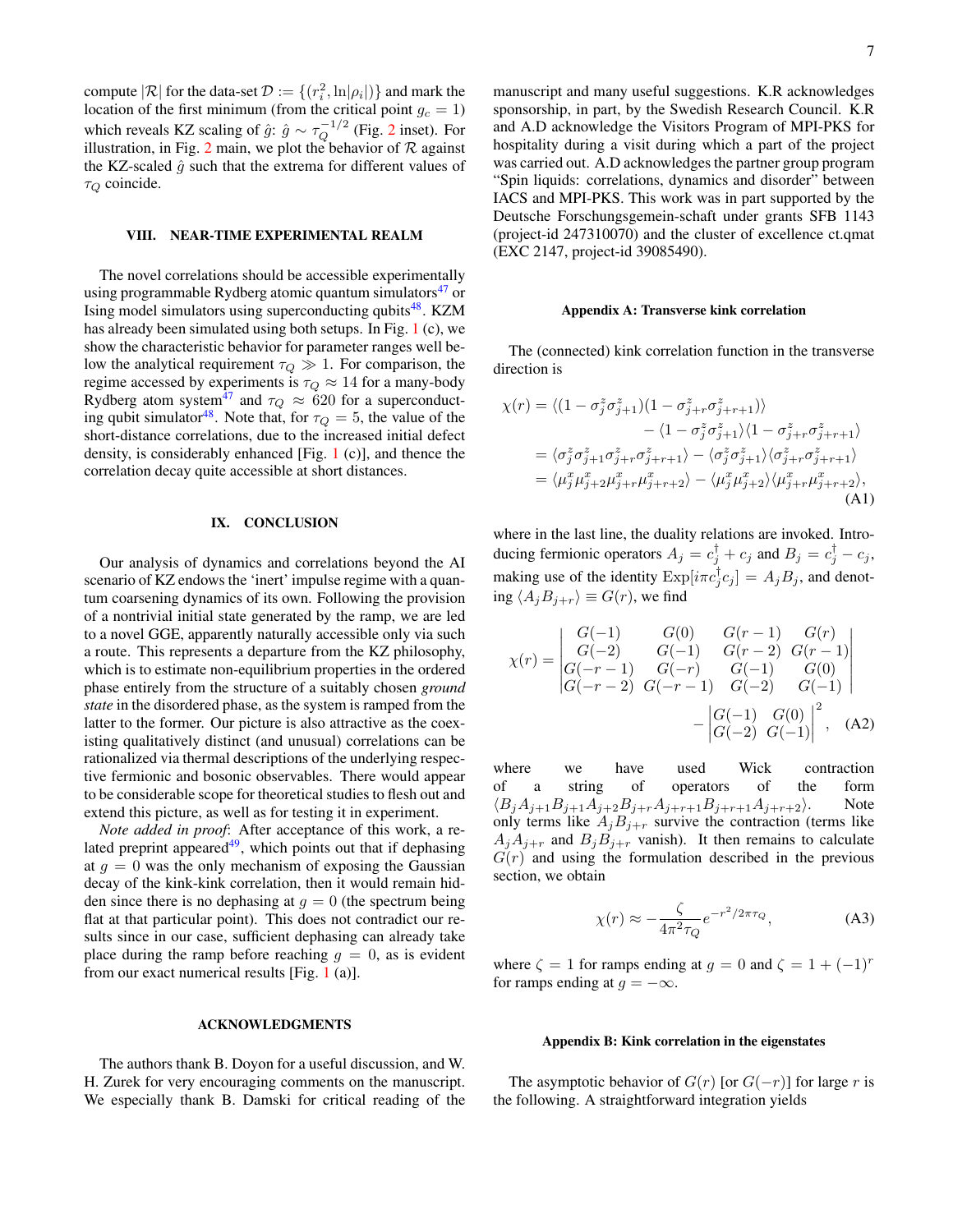compute  $|\mathcal{R}|$  for the data-set  $\mathcal{D} := \{(r_i^2, \ln|\rho_i|)\}$  and mark the location of the first minimum (from the critical point  $g_c = 1$ ) which reveals KZ scaling of  $\hat{g}$ :  $\hat{g} \sim \tau_Q^{-1/2}$  $\hat{g} \sim \tau_Q^{-1/2}$  $\hat{g} \sim \tau_Q^{-1/2}$  (Fig. 2 inset). For illustration, in Fig. [2](#page-5-2) main, we plot the behavior of  $R$  against the KZ-scaled  $\hat{g}$  such that the extrema for different values of  $\tau_Q$  coincide.

# <span id="page-6-1"></span>VIII. NEAR-TIME EXPERIMENTAL REALM

The novel correlations should be accessible experimentally using programmable Rydberg atomic quantum simulators $47$  or Ising model simulators using superconducting qubits<sup>[48](#page-10-32)</sup>. KZM has already been simulated using both setups. In Fig. [1](#page-1-5) (c), we show the characteristic behavior for parameter ranges well below the analytical requirement  $\tau_Q \gg 1$ . For comparison, the regime accessed by experiments is  $\tau_Q \approx 14$  for a many-body Rydberg atom system<sup>[47](#page-10-31)</sup> and  $\tau_Q \approx 620$  for a superconduct-ing qubit simulator<sup>[48](#page-10-32)</sup>. Note that, for  $\tau_Q = 5$ , the value of the short-distance correlations, due to the increased initial defect density, is considerably enhanced [Fig. [1](#page-1-5) (c)], and thence the correlation decay quite accessible at short distances.

# <span id="page-6-0"></span>IX. CONCLUSION

Our analysis of dynamics and correlations beyond the AI scenario of KZ endows the 'inert' impulse regime with a quantum coarsening dynamics of its own. Following the provision of a nontrivial initial state generated by the ramp, we are led to a novel GGE, apparently naturally accessible only via such a route. This represents a departure from the KZ philosophy, which is to estimate non-equilibrium properties in the ordered phase entirely from the structure of a suitably chosen *ground state* in the disordered phase, as the system is ramped from the latter to the former. Our picture is also attractive as the coexisting qualitatively distinct (and unusual) correlations can be rationalized via thermal descriptions of the underlying respective fermionic and bosonic observables. There would appear to be considerable scope for theoretical studies to flesh out and extend this picture, as well as for testing it in experiment.

*Note added in proof*: After acceptance of this work, a related preprint appeared $49$ , which points out that if dephasing at  $q = 0$  was the only mechanism of exposing the Gaussian decay of the kink-kink correlation, then it would remain hidden since there is no dephasing at  $q = 0$  (the spectrum being flat at that particular point). This does not contradict our results since in our case, sufficient dephasing can already take place during the ramp before reaching  $g = 0$ , as is evident from our exact numerical results [Fig. [1](#page-1-5) (a)].

### ACKNOWLEDGMENTS

The authors thank B. Doyon for a useful discussion, and W. H. Zurek for very encouraging comments on the manuscript. We especially thank B. Damski for critical reading of the manuscript and many useful suggestions. K.R acknowledges sponsorship, in part, by the Swedish Research Council. K.R and A.D acknowledge the Visitors Program of MPI-PKS for hospitality during a visit during which a part of the project was carried out. A.D acknowledges the partner group program "Spin liquids: correlations, dynamics and disorder" between IACS and MPI-PKS. This work was in part supported by the Deutsche Forschungsgemein-schaft under grants SFB 1143 (project-id 247310070) and the cluster of excellence ct.qmat (EXC 2147, project-id 39085490).

### <span id="page-6-2"></span>Appendix A: Transverse kink correlation

The (connected) kink correlation function in the transverse direction is

$$
\chi(r) = \langle (1 - \sigma_j^z \sigma_{j+1}^z)(1 - \sigma_{j+r}^z \sigma_{j+r+1}^z) \rangle
$$
  
\n
$$
- \langle 1 - \sigma_j^z \sigma_{j+1}^z \rangle \langle 1 - \sigma_{j+r}^z \sigma_{j+r+1}^z \rangle
$$
  
\n
$$
= \langle \sigma_j^z \sigma_{j+1}^z \sigma_{j+r}^z \sigma_{j+r+1}^z \rangle - \langle \sigma_j^z \sigma_{j+1}^z \rangle \langle \sigma_{j+r}^z \sigma_{j+r+1}^z \rangle
$$
  
\n
$$
= \langle \mu_j^x \mu_{j+2}^x \mu_{j+r}^x \mu_{j+r+2}^z \rangle - \langle \mu_j^x \mu_{j+2}^z \rangle \langle \mu_{j+r}^x \mu_{j+r+2}^z \rangle, \tag{A1}
$$

where in the last line, the duality relations are invoked. Introducing fermionic operators  $A_j = c_j^{\dagger} + c_j$  and  $B_j = c_j^{\dagger} - c_j$ , making use of the identity  $\text{Exp}[i\pi c_j^{\dagger} c_j] = A_j B_j$ , and denoting  $\langle A_j B_{j+r} \rangle \equiv G(r)$ , we find

$$
\chi(r) = \begin{vmatrix} G(-1) & G(0) & G(r-1) & G(r) \\ G(-2) & G(-1) & G(r-2) & G(r-1) \\ G(-r-1) & G(-r) & G(-1) & G(0) \\ G(-r-2) & G(-r-1) & G(-2) & G(-1) \end{vmatrix} - \begin{vmatrix} G(-1) & G(0) \\ G(-2) & G(-1) \end{vmatrix}^2, \quad (A2)
$$

where we have used Wick contraction of a string of operators of the form  $\langle B_j A_{j+1} B_{j+1} A_{j+2} B_{j+r} A_{j+r+1} B_{j+r+1} A_{j+r+2} \rangle$ . Note only terms like  $A_j B_{j+r}$  survive the contraction (terms like  $A_jA_{j+r}$  and  $B_jB_{j+r}$  vanish). It then remains to calculate  $G(r)$  and using the formulation described in the previous section, we obtain

$$
\chi(r) \approx -\frac{\zeta}{4\pi^2 \tau_Q} e^{-r^2/2\pi \tau_Q},\tag{A3}
$$

where  $\zeta = 1$  for ramps ending at  $g = 0$  and  $\zeta = 1 + (-1)^r$ for ramps ending at  $q = -\infty$ .

### <span id="page-6-3"></span>Appendix B: Kink correlation in the eigenstates

The asymptotic behavior of  $G(r)$  [or  $G(-r)$ ] for large r is the following. A straightforward integration yields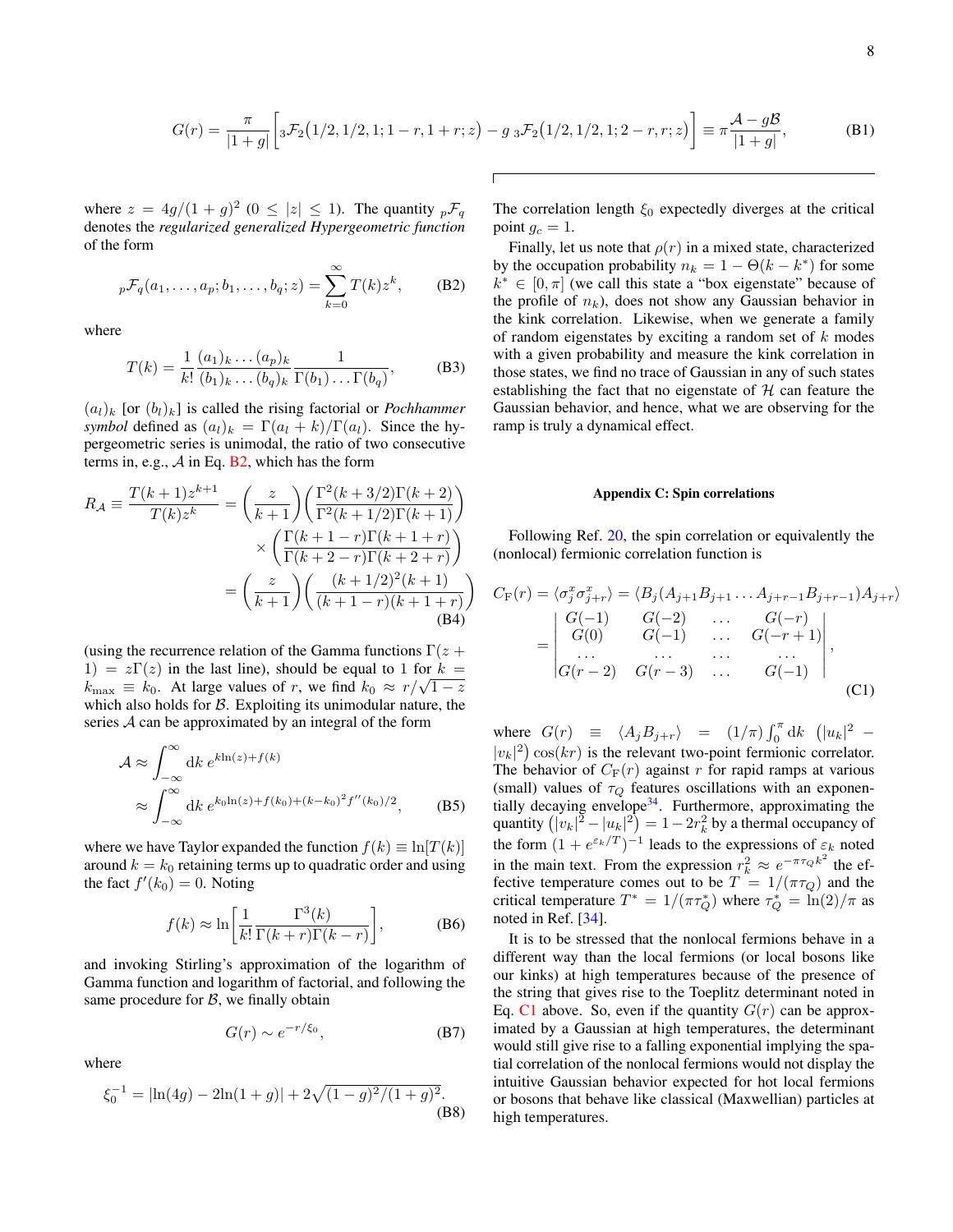$$
G(r) = \frac{\pi}{|1+g|} \left[ {}_3\mathcal{F}_2\big(1/2, 1/2, 1; 1-r, 1+r; z\big) - g {}_3\mathcal{F}_2\big(1/2, 1/2, 1; 2-r, r; z\big) \right] \equiv \pi \frac{\mathcal{A} - g\mathcal{B}}{|1+g|},\tag{B1}
$$

where  $z = 4g/(1+g)^2$  ( $0 \le |z| \le 1$ ). The quantity  ${}_{p}\mathcal{F}_{q}$ denotes the *regularized generalized Hypergeometric function* of the form

$$
{}_{p}\mathcal{F}_q(a_1,\ldots,a_p;b_1,\ldots,b_q;z) = \sum_{k=0}^{\infty} T(k)z^k, \qquad \text{(B2)}
$$

where

$$
T(k) = \frac{1}{k!} \frac{(a_1)_k \dots (a_p)_k}{(b_1)_k \dots (b_q)_k} \frac{1}{\Gamma(b_1) \dots \Gamma(b_q)},
$$
(B3)

 $(a_l)_k$  [or  $(b_l)_k$ ] is called the rising factorial or *Pochhammer symbol* defined as  $(a_l)_k = \Gamma(a_l + k)/\Gamma(a_l)$ . Since the hypergeometric series is unimodal, the ratio of two consecutive terms in, e.g.,  $A$  in Eq. [B2,](#page-7-1) which has the form

$$
R_{\mathcal{A}} \equiv \frac{T(k+1)z^{k+1}}{T(k)z^k} = \left(\frac{z}{k+1}\right) \left(\frac{\Gamma^2(k+3/2)\Gamma(k+2)}{\Gamma^2(k+1/2)\Gamma(k+1)}\right) \\
\times \left(\frac{\Gamma(k+1-r)\Gamma(k+1+r)}{\Gamma(k+2-r)\Gamma(k+2+r)}\right) \\
= \left(\frac{z}{k+1}\right) \left(\frac{(k+1/2)^2(k+1)}{(k+1-r)(k+1+r)}\right) \\
\text{(B4)}
$$

(using the recurrence relation of the Gamma functions  $\Gamma(z + \mathbf{z})$ 1) =  $z\Gamma(z)$  in the last line), should be equal to 1 for  $k =$  $k_{\text{max}} \equiv k_0$ . At large values of r, we find  $k_0 \approx r/\sqrt{1-z}$ which also holds for  $\beta$ . Exploiting its unimodular nature, the series A can be approximated by an integral of the form

$$
\mathcal{A} \approx \int_{-\infty}^{\infty} dk \, e^{k \ln(z) + f(k)} \n\approx \int_{-\infty}^{\infty} dk \, e^{k_0 \ln(z) + f(k_0) + (k - k_0)^2 f''(k_0)/2},
$$
\n(B5)

where we have Taylor expanded the function  $f(k) \equiv \ln |T(k)|$ around  $k = k_0$  retaining terms up to quadratic order and using the fact  $f'(k_0) = 0$ . Noting

$$
f(k) \approx \ln\left[\frac{1}{k!} \frac{\Gamma^3(k)}{\Gamma(k+r)\Gamma(k-r)}\right],
$$
 (B6)

and invoking Stirling's approximation of the logarithm of Gamma function and logarithm of factorial, and following the same procedure for  $B$ , we finally obtain

$$
G(r) \sim e^{-r/\xi_0},\tag{B7}
$$

where

$$
\xi_0^{-1} = |\ln(4g) - 2\ln(1+g)| + 2\sqrt{(1-g)^2/(1+g)^2}.
$$
 (B8)

The correlation length  $\xi_0$  expectedly diverges at the critical point  $g_c = 1$ .

<span id="page-7-1"></span>Finally, let us note that  $\rho(r)$  in a mixed state, characterized by the occupation probability  $n_k = 1 - \Theta(k - k^*)$  for some  $k^* \in [0, \pi]$  (we call this state a "box eigenstate" because of the profile of  $n_k$ ), does not show any Gaussian behavior in the kink correlation. Likewise, when we generate a family of random eigenstates by exciting a random set of  $k$  modes with a given probability and measure the kink correlation in those states, we find no trace of Gaussian in any of such states establishing the fact that no eigenstate of  $H$  can feature the Gaussian behavior, and hence, what we are observing for the ramp is truly a dynamical effect.

### <span id="page-7-2"></span><span id="page-7-0"></span>Appendix C: Spin correlations

Following Ref. [20,](#page-10-8) the spin correlation or equivalently the (nonlocal) fermionic correlation function is

$$
C_{\mathcal{F}}(r) = \langle \sigma_j^x \sigma_{j+r}^x \rangle = \langle B_j(A_{j+1}B_{j+1} \dots A_{j+r-1}B_{j+r-1})A_{j+r} \rangle
$$
  
= 
$$
\begin{vmatrix} G(-1) & G(-2) & \cdots & G(-r) \\ G(0) & G(-1) & \cdots & G(-r+1) \\ \cdots & \cdots & \cdots & \cdots \\ G(r-2) & G(r-3) & \cdots & G(-1) \end{vmatrix},
$$
  
(C1)

where  $G(r) \equiv \langle A_j B_{j+r} \rangle = (1/\pi) \int_0^{\pi} dk \ (|u_k|^2 |v_k|^2$ )  $\cos(kr)$  is the relevant two-point fermionic correlator. The behavior of  $C_F(r)$  against r for rapid ramps at various (small) values of  $\tau_Q$  features oscillations with an exponen-tially decaying envelope<sup>[34](#page-10-22)</sup>. Furthermore, approximating the quantity  $\left( |v_k|^2 - |u_k|^2 \right) = 1 - 2r_k^2$  by a thermal occupancy of the form  $(1 + e^{\varepsilon_k/T})^{-1}$  leads to the expressions of  $\varepsilon_k$  noted in the main text. From the expression  $r_k^2 \approx e^{-\pi \tau_Q k^2}$  the effective temperature comes out to be  $T = 1/(\pi \tau_Q)$  and the critical temperature  $T^* = 1/(\pi \tau_Q^*)$  where  $\tau_Q^* = \ln(2)/\pi$  as noted in Ref. [\[34\]](#page-10-22).

It is to be stressed that the nonlocal fermions behave in a different way than the local fermions (or local bosons like our kinks) at high temperatures because of the presence of the string that gives rise to the Toeplitz determinant noted in Eq. [C1](#page-7-2) above. So, even if the quantity  $G(r)$  can be approximated by a Gaussian at high temperatures, the determinant would still give rise to a falling exponential implying the spatial correlation of the nonlocal fermions would not display the intuitive Gaussian behavior expected for hot local fermions or bosons that behave like classical (Maxwellian) particles at high temperatures.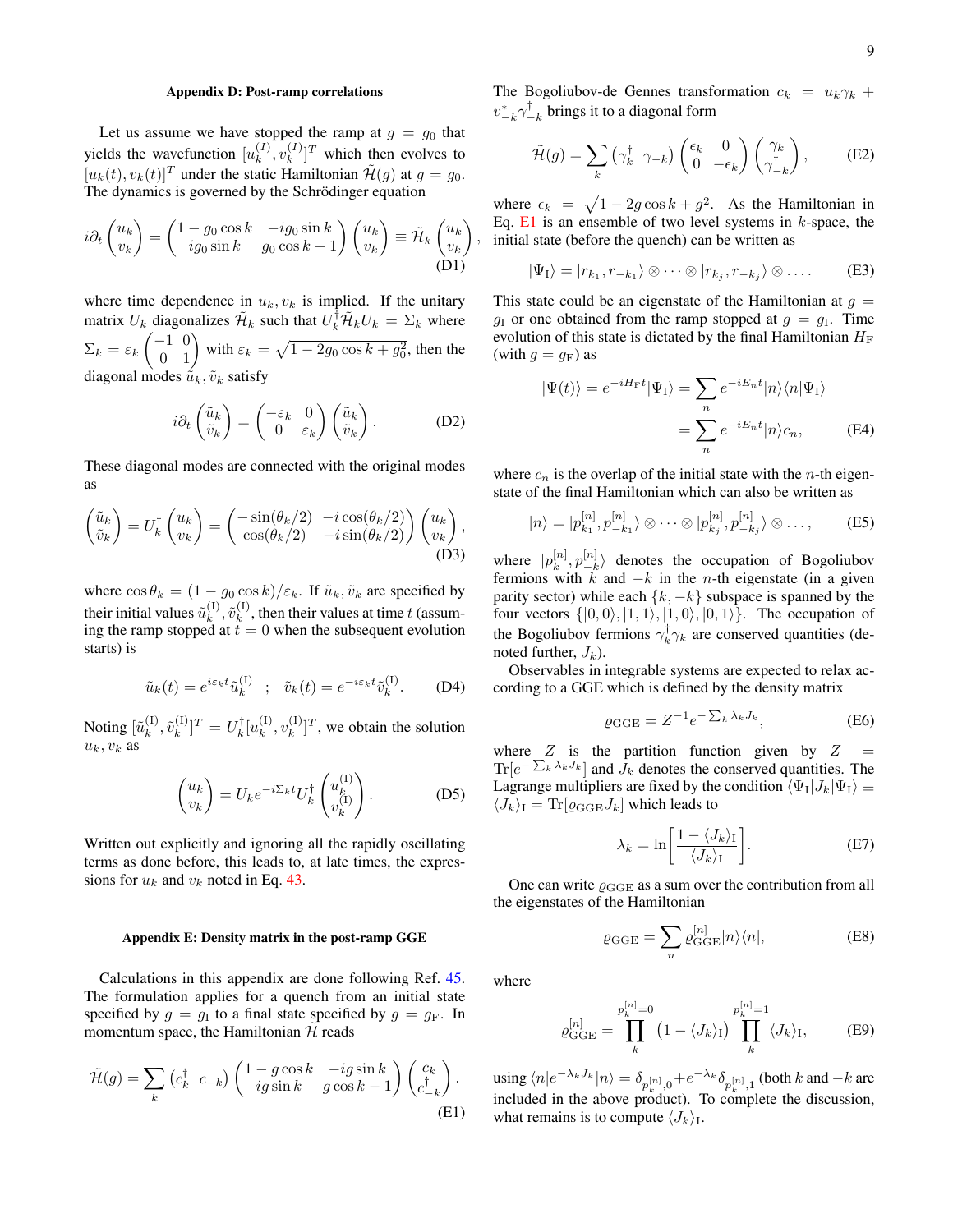# <span id="page-8-0"></span>Appendix D: Post-ramp correlations

Let us assume we have stopped the ramp at  $g = g_0$  that yields the wavefunction  $[u_k^{(I)}]$  $_k^{(I)}, v_k^{(I)}$  $\binom{I}{k}$ <sup>T</sup> which then evolves to  $[u_k(t), v_k(t)]^T$  under the static Hamiltonian  $\mathcal{H}(g)$  at  $g = g_0$ . The dynamics is governed by the Schrödinger equation

$$
i\partial_t \begin{pmatrix} u_k \\ v_k \end{pmatrix} = \begin{pmatrix} 1 - g_0 \cos k & -ig_0 \sin k \\ ig_0 \sin k & g_0 \cos k - 1 \end{pmatrix} \begin{pmatrix} u_k \\ v_k \end{pmatrix} \equiv \tilde{\mathcal{H}}_k \begin{pmatrix} u_k \\ v_k \end{pmatrix}
$$
(D1)

where time dependence in  $u_k$ ,  $v_k$  is implied. If the unitary matrix  $U_k$  diagonalizes  $\mathcal{H}_k$  such that  $U_k^{\dagger} \mathcal{H}_k U_k = \Sigma_k$  where  $\Sigma_k = \varepsilon_k \begin{pmatrix} -1 & 0 \\ 0 & 1 \end{pmatrix}$  with  $\varepsilon_k = \sqrt{1 - 2g_0 \cos k + g_0^2}$ , then the diagonal modes  $\tilde{u}_k, \tilde{v}_k$  satisfy

$$
i\partial_t \begin{pmatrix} \tilde{u}_k \\ \tilde{v}_k \end{pmatrix} = \begin{pmatrix} -\varepsilon_k & 0 \\ 0 & \varepsilon_k \end{pmatrix} \begin{pmatrix} \tilde{u}_k \\ \tilde{v}_k \end{pmatrix}.
$$
 (D2)

These diagonal modes are connected with the original modes as

$$
\begin{pmatrix} \tilde{u}_k \\ \tilde{v}_k \end{pmatrix} = U_k^{\dagger} \begin{pmatrix} u_k \\ v_k \end{pmatrix} = \begin{pmatrix} -\sin(\theta_k/2) & -i\cos(\theta_k/2) \\ \cos(\theta_k/2) & -i\sin(\theta_k/2) \end{pmatrix} \begin{pmatrix} u_k \\ v_k \end{pmatrix},
$$
\n(D3)

where  $\cos \theta_k = (1 - g_0 \cos k)/\epsilon_k$ . If  $\tilde{u}_k, \tilde{v}_k$  are specified by their initial values  $\tilde{u}_k^{(I)}$  $_{k}^{\left( \text{I}\right) },\tilde{v}_{k}^{\left( \text{I}\right) }$  $k^{(1)}$ , then their values at time t (assuming the ramp stopped at  $t = 0$  when the subsequent evolution starts) is

$$
\tilde{u}_k(t) = e^{i\varepsilon_k t} \tilde{u}_k^{(1)} \quad ; \quad \tilde{v}_k(t) = e^{-i\varepsilon_k t} \tilde{v}_k^{(1)}.
$$
 (D4)

Noting  $[\tilde{u}_k^{(I)}]$  $_k^{(\mathrm{I})}, \tilde{v}_k^{(\mathrm{I})}$  $[u_k^{(I)}]^T = U_k^{\dagger} [u_k^{(I)}]$  $_k^{\rm (I)}, v_k^{\rm (I)}$  $\binom{1}{k}$   $T$ , we obtain the solution  $u_k, v_k$  as

$$
\begin{pmatrix} u_k \\ v_k \end{pmatrix} = U_k e^{-i\Sigma_k t} U_k^{\dagger} \begin{pmatrix} u_k^{(1)} \\ v_k^{(1)} \end{pmatrix} . \tag{D5}
$$

Written out explicitly and ignoring all the rapidly oscillating terms as done before, this leads to, at late times, the expressions for  $u_k$  and  $v_k$  noted in Eq. [43.](#page-5-3)

### <span id="page-8-1"></span>Appendix E: Density matrix in the post-ramp GGE

Calculations in this appendix are done following Ref. [45.](#page-10-28) The formulation applies for a quench from an initial state specified by  $g = g_I$  to a final state specified by  $g = g_F$ . In momentum space, the Hamiltonian  $H$  reads

$$
\tilde{\mathcal{H}}(g) = \sum_{k} \left( c_{k}^{\dagger} \ c_{-k} \right) \begin{pmatrix} 1 - g \cos k & -ig \sin k \\ ig \sin k & g \cos k - 1 \end{pmatrix} \begin{pmatrix} c_{k} \\ c_{-k}^{\dagger} \end{pmatrix} . \tag{E1}
$$

The Bogoliubov-de Gennes transformation  $c_k = u_k \gamma_k +$  $v_{-k}^* \gamma_{-k}^\dagger$  brings it to a diagonal form

$$
\tilde{\mathcal{H}}(g) = \sum_{k} \left( \gamma_{k}^{\dagger} \ \gamma_{-k} \right) \begin{pmatrix} \epsilon_{k} & 0 \\ 0 & -\epsilon_{k} \end{pmatrix} \begin{pmatrix} \gamma_{k} \\ \gamma_{-k}^{\dagger} \end{pmatrix}, \tag{E2}
$$

where  $\epsilon_k = \sqrt{1 - 2g \cos k + g^2}$ . As the Hamiltonian in Eq.  $E1$  is an ensemble of two level systems in k-space, the initial state (before the quench) can be written as

<span id="page-8-4"></span>
$$
|\Psi_{\mathrm{I}}\rangle=|r_{k_1},r_{-k_1}\rangle\otimes\cdots\otimes|r_{k_j},r_{-k_j}\rangle\otimes\ldots.
$$
 (E3)

This state could be an eigenstate of the Hamiltonian at  $g =$  $g_I$  or one obtained from the ramp stopped at  $g = g_I$ . Time evolution of this state is dictated by the final Hamiltonian  $H_F$ (with  $g = g_F$ ) as

<span id="page-8-3"></span>
$$
|\Psi(t)\rangle = e^{-iH_{\rm F}t}|\Psi_{\rm I}\rangle = \sum_{n} e^{-iE_{n}t} |n\rangle\langle n|\Psi_{\rm I}\rangle
$$

$$
= \sum_{n} e^{-iE_{n}t} |n\rangle c_{n}, \tag{E4}
$$

where  $c_n$  is the overlap of the initial state with the *n*-th eigenstate of the final Hamiltonian which can also be written as

$$
|n\rangle = |p_{k_1}^{[n]}, p_{-k_1}^{[n]}\rangle \otimes \cdots \otimes |p_{k_j}^{[n]}, p_{-k_j}^{[n]}\rangle \otimes \ldots, \qquad \text{(E5)}
$$

where  $|p_k^{[n]}$  $_{k}^{\left[ n\right] },p_{-k}^{\left[ n\right] }$  $\begin{bmatrix} \binom{n}{k} \\ -k \end{bmatrix}$  denotes the occupation of Bogoliubov fermions with k and  $-k$  in the n-th eigenstate (in a given parity sector) while each  $\{k, -k\}$  subspace is spanned by the four vectors  $\{|0,0\rangle, |1,1\rangle, |1,0\rangle, |0,1\rangle\}.$  The occupation of the Bogoliubov fermions  $\gamma_k^{\dagger} \gamma_k$  are conserved quantities (denoted further,  $J_k$ ).

Observables in integrable systems are expected to relax according to a GGE which is defined by the density matrix

$$
\varrho_{\text{GGE}} = Z^{-1} e^{-\sum_{k} \lambda_k J_k},\tag{E6}
$$

where  $Z$  is the partition function given by  $Z$  $\text{Tr}[e^{-\sum_{k} \lambda_k J_k}]$  and  $\bar{J}_k$  denotes the conserved quantities. The Lagrange multipliers are fixed by the condition  $\langle \Psi_{\rm I} | J_k | \Psi_{\rm I} \rangle \equiv$  $\langle J_k \rangle_I = \text{Tr}[\varrho_{\text{GGE}} J_k]$  which leads to

$$
\lambda_k = \ln\left[\frac{1 - \langle J_k \rangle_I}{\langle J_k \rangle_I}\right].
$$
 (E7)

One can write  $\varrho_{\text{GGE}}$  as a sum over the contribution from all the eigenstates of the Hamiltonian

$$
\varrho_{\text{GGE}} = \sum_{n} \varrho_{\text{GGE}}^{[n]} |n\rangle \langle n|, \tag{E8}
$$

where

,

$$
\varrho_{\text{GGE}}^{[n]} = \prod_{k}^{p_k^{[n]}=0} \left(1 - \langle J_k \rangle \right) \prod_{k}^{p_k^{[n]}=1} \langle J_k \rangle_I, \tag{E9}
$$

<span id="page-8-2"></span>using  $\langle n|e^{-\lambda_kJ_k}|n\rangle = \delta_{p_k^{[n]},0}+e^{-\lambda_k}\delta_{p_k^{[n]},1}$  (both k and  $-k$  are included in the above product). To complete the discussion, what remains is to compute  $\langle J_k \rangle$ <sub>I</sub>.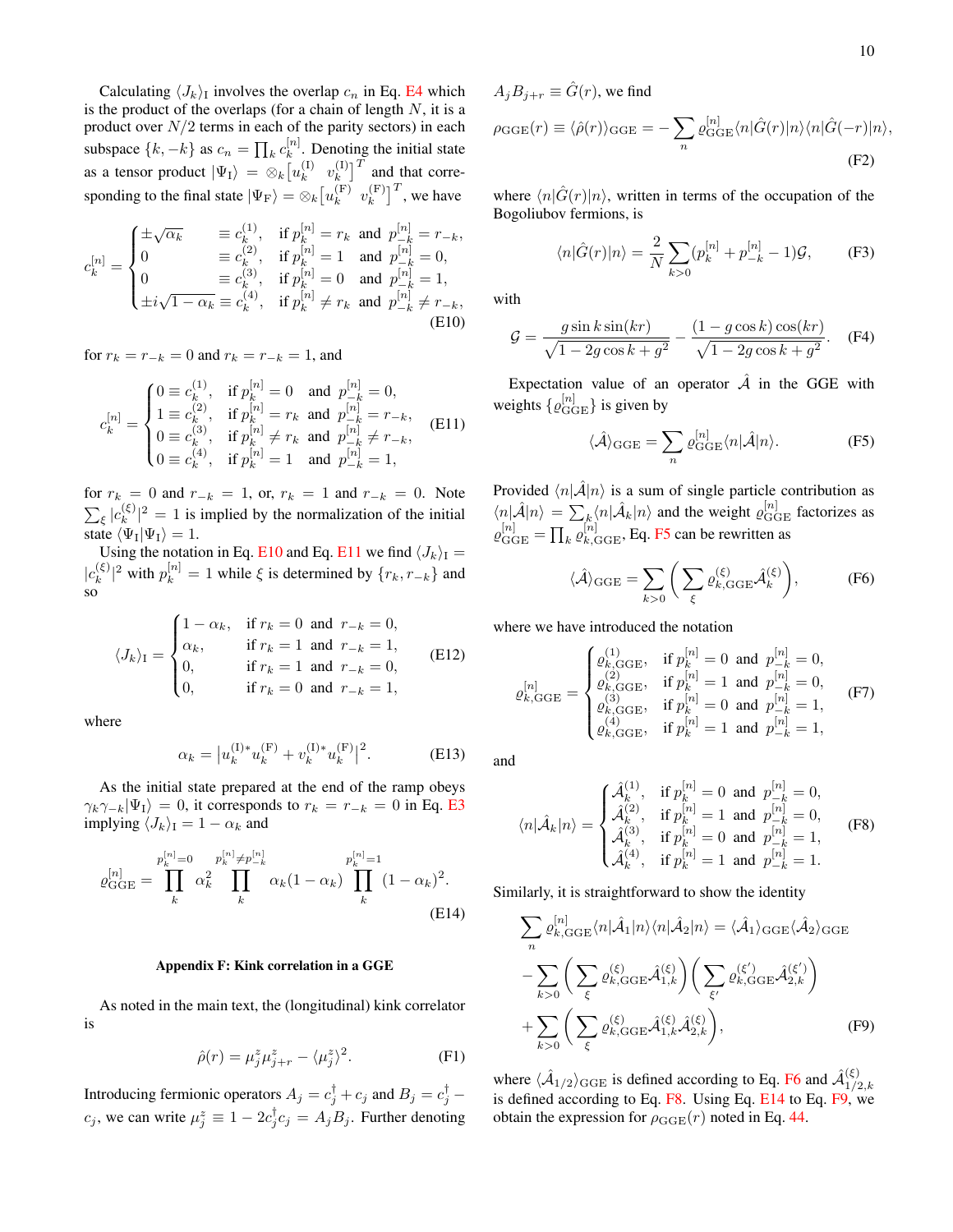Calculating  $\langle J_k \rangle$ <sub>I</sub> involves the overlap  $c_n$  in Eq. [E4](#page-8-3) which is the product of the overlaps (for a chain of length  $N$ , it is a product over  $N/2$  terms in each of the parity sectors) in each subspace  $\{k, -k\}$  as  $c_n = \prod_k c_k^{[n]}$  $k^{[n]}$ . Denoting the initial state as a tensor product  $|\Psi_{\text{I}}\rangle = \otimes_k [u_k^{(\text{I})}]$  $\begin{matrix} \text{(I)} & v_k^{\text{(I)}} \\ k & k \end{matrix}$  $\binom{[1]}{k}$  and that corresponding to the final state  $|\Psi_{\rm F}\rangle = \otimes_k [u_k^{\rm (F)}]$  $\begin{matrix} \n\text{F} \\
\text{k} \n\end{matrix}$   $v_k^{\text{(F)}}$  ${k[\text{F}]}$ , we have

$$
c_k^{[n]} = \begin{cases} \pm \sqrt{\alpha_k} & \equiv c_k^{(1)}, \quad \text{if } p_k^{[n]} = r_k \text{ and } p_{-k}^{[n]} = r_{-k}, \\ 0 & \equiv c_k^{(2)}, \quad \text{if } p_k^{[n]} = 1 \quad \text{and } p_{-k}^{[n]} = 0, \\ 0 & \equiv c_k^{(3)}, \quad \text{if } p_k^{[n]} = 0 \quad \text{and } p_{-k}^{[n]} = 1, \\ \pm i\sqrt{1 - \alpha_k} \equiv c_k^{(4)}, \quad \text{if } p_k^{[n]} \neq r_k \text{ and } p_{-k}^{[n]} \neq r_{-k}, \\ \text{(E10)} \end{cases}
$$

for  $r_k = r_{-k} = 0$  and  $r_k = r_{-k} = 1$ , and

$$
c_k^{[n]} = \begin{cases} 0 \equiv c_k^{(1)}, & \text{if } p_k^{[n]} = 0 \quad \text{and } p_{-k}^{[n]} = 0, \\ 1 \equiv c_k^{(2)}, & \text{if } p_k^{[n]} = r_k \quad \text{and } p_{-k}^{[n]} = r_{-k}, \\ 0 \equiv c_k^{(3)}, & \text{if } p_k^{[n]} \neq r_k \quad \text{and } p_{-k}^{[n]} \neq r_{-k}, \\ 0 \equiv c_k^{(4)}, & \text{if } p_k^{[n]} = 1 \quad \text{and } p_{-k}^{[n]} = 1, \end{cases}
$$
(E11)

for  $r_k = 0$  and  $r_{-k} = 1$ , or,  $r_k = 1$  and  $r_{-k} = 0$ . Note  $\sum_{\xi} |c_k^{(\xi)}\>$  $\binom{15}{k}$  = 1 is implied by the normalization of the initial state  $\langle \Psi_I | \Psi_I \rangle = 1$ .

Using the notation in Eq. [E10](#page-9-1) and Eq. [E11](#page-9-2) we find  $\langle J_k \rangle_I =$  $|c_k^{(\xi)}\>$  $|k_{k}^{(\xi)}|^{2}$  with  $p_{k}^{[n]} = 1$  while  $\xi$  is determined by  $\{r_{k}, r_{-k}\}$  and so

$$
\langle J_k \rangle_{\rm I} = \begin{cases} 1 - \alpha_k, & \text{if } r_k = 0 \text{ and } r_{-k} = 0, \\ \alpha_k, & \text{if } r_k = 1 \text{ and } r_{-k} = 1, \\ 0, & \text{if } r_k = 1 \text{ and } r_{-k} = 0, \\ 0, & \text{if } r_k = 0 \text{ and } r_{-k} = 1, \end{cases} \tag{E12}
$$

where

$$
\alpha_k = |u_k^{(1)*} u_k^{(F)} + v_k^{(1)*} u_k^{(F)}|^2.
$$
 (E13)

As the initial state prepared at the end of the ramp obeys  $\gamma_k \gamma_{-k} |\Psi_{\text{I}}\rangle = 0$ , it corresponds to  $r_k = r_{-k} = 0$  in Eq. [E3](#page-8-4) implying  $\langle J_k \rangle_I = 1 - \alpha_k$  and

$$
\varrho_{\text{GGE}}^{[n]} = \prod_{k}^{p_k^{[n]}=0} \alpha_k^2 \prod_{k}^{p_k^{[n]} \neq p_{-k}^{[n]}} \alpha_k (1 - \alpha_k) \prod_{k}^{p_k^{[n]}=1} (1 - \alpha_k)^2.
$$
\n(E14)

### <span id="page-9-0"></span>Appendix F: Kink correlation in a GGE

As noted in the main text, the (longitudinal) kink correlator is

$$
\hat{\rho}(r) = \mu_j^z \mu_{j+r}^z - \langle \mu_j^z \rangle^2. \tag{F1}
$$

Introducing fermionic operators  $A_j = c_j^{\dagger} + c_j$  and  $B_j = c_j^{\dagger}$  $c_j$ , we can write  $\mu_j^z \equiv 1 - 2c_j^{\dagger}c_j = A_jB_j$ . Further denoting  $A_i B_{i+r} \equiv \hat{G}(r)$ , we find

$$
\rho_{\text{GGE}}(r) \equiv \langle \hat{\rho}(r) \rangle_{\text{GGE}} = -\sum_{n} \varrho_{\text{GGE}}^{[n]} \langle n | \hat{G}(r) | n \rangle \langle n | \hat{G}(-r) | n \rangle,
$$
\n(F2)

where  $\langle n|\hat{G}(r)|n\rangle$ , written in terms of the occupation of the Bogoliubov fermions, is

$$
\langle n|\hat{G}(r)|n\rangle = \frac{2}{N} \sum_{k>0} (p_k^{[n]} + p_{-k}^{[n]} - 1)\mathcal{G},
$$
 (F3)

<span id="page-9-1"></span>with

$$
G = \frac{g \sin k \sin(kr)}{\sqrt{1 - 2g \cos k + g^2}} - \frac{(1 - g \cos k) \cos(kr)}{\sqrt{1 - 2g \cos k + g^2}}.
$$
 (F4)

<span id="page-9-2"></span>Expectation value of an operator  $\hat{A}$  in the GGE with weights  $\{ \varrho_{\text{GGE}}^{[n]} \}$  is given by

<span id="page-9-3"></span>
$$
\langle \hat{\mathcal{A}} \rangle_{\text{GGE}} = \sum_{n} \varrho_{\text{GGE}}^{[n]} \langle n | \hat{\mathcal{A}} | n \rangle. \tag{F5}
$$

Provided  $\langle n|A|n \rangle$  is a sum of single particle contribution as  $\langle n|\hat{\mathcal{A}}|n\rangle = \sum_{k} \langle n|\hat{\mathcal{A}}_k|n\rangle$  and the weight  $\varrho_{\text{GGE}}^{[n]}$  factorizes as  $\varrho_{\rm GGE}^{[n]} = \prod_k \varrho_{k,{\rm GGE}}^{[n]}$ , Eq. [F5](#page-9-3) can be rewritten as

<span id="page-9-4"></span>
$$
\langle \hat{\mathcal{A}} \rangle_{\text{GGE}} = \sum_{k>0} \left( \sum_{\xi} \varrho_{k,\text{GGE}}^{(\xi)} \hat{\mathcal{A}}_k^{(\xi)} \right), \tag{F6}
$$

where we have introduced the notation

$$
\varrho_{k,\text{GGE}}^{[n]} = \begin{cases} \varrho_{k,\text{GGE}}^{(1)}, & \text{if } p_k^{[n]} = 0 \text{ and } p_{-k}^{[n]} = 0, \\ \varrho_{k,\text{GGE}}^{(2)}, & \text{if } p_k^{[n]} = 1 \text{ and } p_{-k}^{[n]} = 0, \\ \varrho_{k,\text{GGE}}^{(3)}, & \text{if } p_k^{[n]} = 0 \text{ and } p_{-k}^{[n]} = 1, \\ \varrho_{k,\text{GGE}}^{(4)}, & \text{if } p_k^{[n]} = 1 \text{ and } p_{-k}^{[n]} = 1, \end{cases} (F7)
$$

and

<span id="page-9-5"></span>
$$
\langle n|\hat{\mathcal{A}}_k|n\rangle = \begin{cases} \hat{\mathcal{A}}_k^{(1)}, & \text{if } p_k^{[n]} = 0 \text{ and } p_{-k}^{[n]} = 0, \\ \hat{\mathcal{A}}_k^{(2)}, & \text{if } p_k^{[n]} = 1 \text{ and } p_{-k}^{[n]} = 0, \\ \hat{\mathcal{A}}_k^{(3)}, & \text{if } p_k^{[n]} = 0 \text{ and } p_{-k}^{[n]} = 1, \\ \hat{\mathcal{A}}_k^{(4)}, & \text{if } p_k^{[n]} = 1 \text{ and } p_{-k}^{[n]} = 1. \end{cases}
$$
 (F8)

<span id="page-9-6"></span>Similarly, it is straightforward to show the identity

<span id="page-9-7"></span>
$$
\sum_{n} \varrho_{k,\text{GGE}}^{[n]} \langle n | \hat{\mathcal{A}}_1 | n \rangle \langle n | \hat{\mathcal{A}}_2 | n \rangle = \langle \hat{\mathcal{A}}_1 \rangle_{\text{GGE}} \langle \hat{\mathcal{A}}_2 \rangle_{\text{GGE}}
$$
\n
$$
- \sum_{k>0} \left( \sum_{\xi} \varrho_{k,\text{GGE}}^{(\xi)} \hat{\mathcal{A}}_{1,k}^{(\xi)} \right) \left( \sum_{\xi'} \varrho_{k,\text{GGE}}^{(\xi')} \hat{\mathcal{A}}_{2,k}^{(\xi')} \right)
$$
\n
$$
+ \sum_{k>0} \left( \sum_{\xi} \varrho_{k,\text{GGE}}^{(\xi)} \hat{\mathcal{A}}_{1,k}^{(\xi)} \hat{\mathcal{A}}_{2,k}^{(\xi)} \right), \tag{F9}
$$

where  $\langle \hat{A}_{1/2} \rangle_{\text{GGE}}$  is defined according to Eq. [F6](#page-9-4) and  $\hat{A}_{1/2}^{(\xi)}$  $1/2,k$ is defined according to Eq. [F8.](#page-9-5) Using Eq. [E14](#page-9-6) to Eq. [F9,](#page-9-7) we obtain the expression for  $\rho_{\text{GGE}}(r)$  noted in Eq. [44.](#page-5-4)